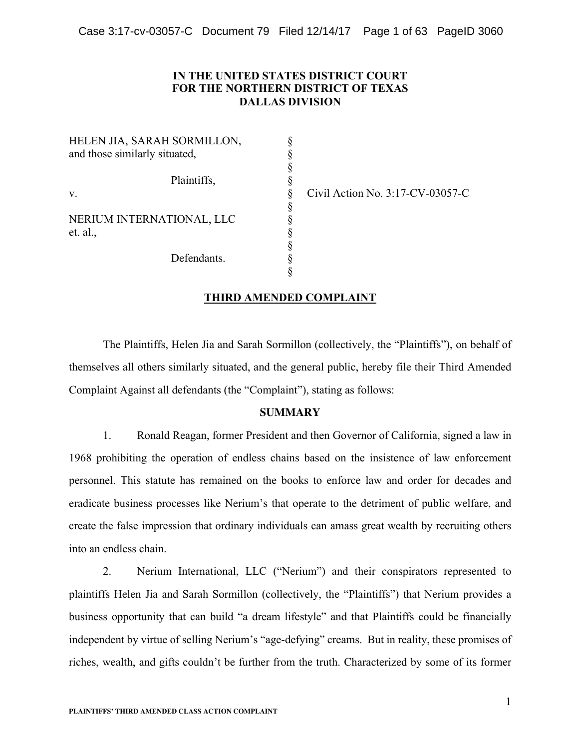## **IN THE UNITED STATES DISTRICT COURT FOR THE NORTHERN DISTRICT OF TEXAS DALLAS DIVISION**

§

§

HELEN JIA, SARAH SORMILLON, and those similarly situated, Plaintiffs. v. § Civil Action No. 3:17-CV-03057-C NERIUM INTERNATIONAL, LLC  $et. al.,$  § Defendants.

### **THIRD AMENDED COMPLAINT**

§

The Plaintiffs, Helen Jia and Sarah Sormillon (collectively, the "Plaintiffs"), on behalf of themselves all others similarly situated, and the general public, hereby file their Third Amended Complaint Against all defendants (the "Complaint"), stating as follows:

## **SUMMARY**

1. Ronald Reagan, former President and then Governor of California, signed a law in 1968 prohibiting the operation of endless chains based on the insistence of law enforcement personnel. This statute has remained on the books to enforce law and order for decades and eradicate business processes like Nerium's that operate to the detriment of public welfare, and create the false impression that ordinary individuals can amass great wealth by recruiting others into an endless chain.

2. Nerium International, LLC ("Nerium") and their conspirators represented to plaintiffs Helen Jia and Sarah Sormillon (collectively, the "Plaintiffs") that Nerium provides a business opportunity that can build "a dream lifestyle" and that Plaintiffs could be financially independent by virtue of selling Nerium's "age-defying" creams. But in reality, these promises of riches, wealth, and gifts couldn't be further from the truth. Characterized by some of its former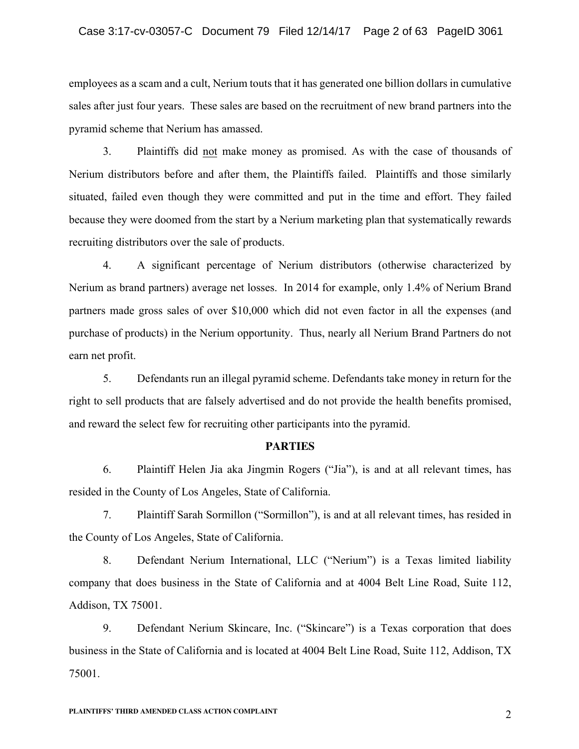employees as a scam and a cult, Nerium touts that it has generated one billion dollars in cumulative sales after just four years. These sales are based on the recruitment of new brand partners into the pyramid scheme that Nerium has amassed.

3. Plaintiffs did not make money as promised. As with the case of thousands of Nerium distributors before and after them, the Plaintiffs failed. Plaintiffs and those similarly situated, failed even though they were committed and put in the time and effort. They failed because they were doomed from the start by a Nerium marketing plan that systematically rewards recruiting distributors over the sale of products.

4. A significant percentage of Nerium distributors (otherwise characterized by Nerium as brand partners) average net losses. In 2014 for example, only 1.4% of Nerium Brand partners made gross sales of over \$10,000 which did not even factor in all the expenses (and purchase of products) in the Nerium opportunity. Thus, nearly all Nerium Brand Partners do not earn net profit.

5. Defendants run an illegal pyramid scheme. Defendants take money in return for the right to sell products that are falsely advertised and do not provide the health benefits promised, and reward the select few for recruiting other participants into the pyramid.

#### **PARTIES**

6. Plaintiff Helen Jia aka Jingmin Rogers ("Jia"), is and at all relevant times, has resided in the County of Los Angeles, State of California.

7. Plaintiff Sarah Sormillon ("Sormillon"), is and at all relevant times, has resided in the County of Los Angeles, State of California.

8. Defendant Nerium International, LLC ("Nerium") is a Texas limited liability company that does business in the State of California and at 4004 Belt Line Road, Suite 112, Addison, TX 75001.

9. Defendant Nerium Skincare, Inc. ("Skincare") is a Texas corporation that does business in the State of California and is located at 4004 Belt Line Road, Suite 112, Addison, TX 75001.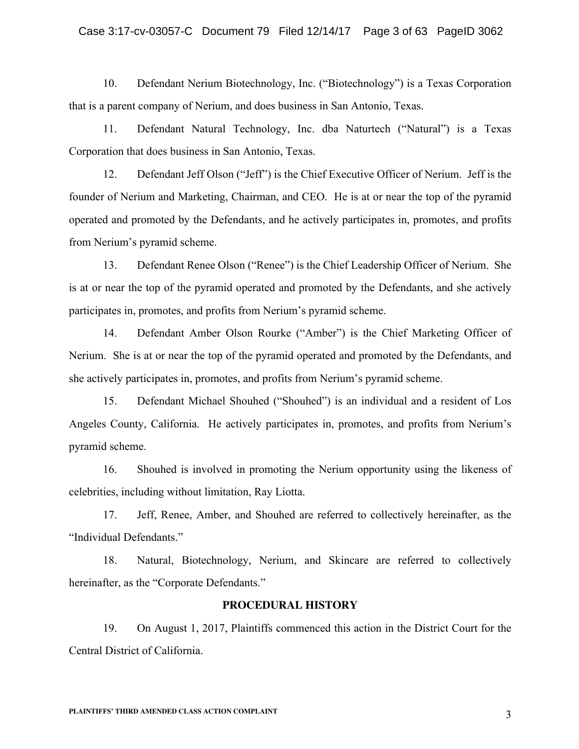### Case 3:17-cv-03057-C Document 79 Filed 12/14/17 Page 3 of 63 PageID 3062

10. Defendant Nerium Biotechnology, Inc. ("Biotechnology") is a Texas Corporation that is a parent company of Nerium, and does business in San Antonio, Texas.

11. Defendant Natural Technology, Inc. dba Naturtech ("Natural") is a Texas Corporation that does business in San Antonio, Texas.

12. Defendant Jeff Olson ("Jeff") is the Chief Executive Officer of Nerium. Jeff is the founder of Nerium and Marketing, Chairman, and CEO. He is at or near the top of the pyramid operated and promoted by the Defendants, and he actively participates in, promotes, and profits from Nerium's pyramid scheme.

13. Defendant Renee Olson ("Renee") is the Chief Leadership Officer of Nerium. She is at or near the top of the pyramid operated and promoted by the Defendants, and she actively participates in, promotes, and profits from Nerium's pyramid scheme.

14. Defendant Amber Olson Rourke ("Amber") is the Chief Marketing Officer of Nerium. She is at or near the top of the pyramid operated and promoted by the Defendants, and she actively participates in, promotes, and profits from Nerium's pyramid scheme.

15. Defendant Michael Shouhed ("Shouhed") is an individual and a resident of Los Angeles County, California. He actively participates in, promotes, and profits from Nerium's pyramid scheme.

16. Shouhed is involved in promoting the Nerium opportunity using the likeness of celebrities, including without limitation, Ray Liotta.

17. Jeff, Renee, Amber, and Shouhed are referred to collectively hereinafter, as the "Individual Defendants."

18. Natural, Biotechnology, Nerium, and Skincare are referred to collectively hereinafter, as the "Corporate Defendants."

### **PROCEDURAL HISTORY**

19. On August 1, 2017, Plaintiffs commenced this action in the District Court for the Central District of California.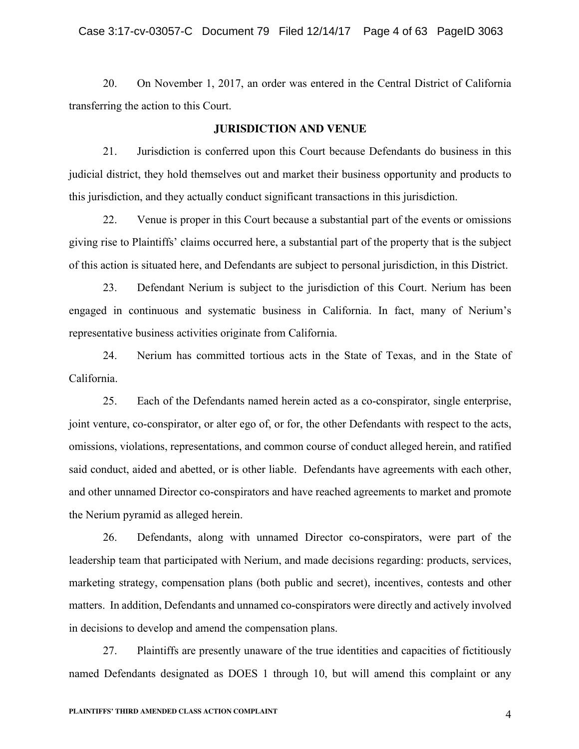20. On November 1, 2017, an order was entered in the Central District of California transferring the action to this Court.

#### **JURISDICTION AND VENUE**

21. Jurisdiction is conferred upon this Court because Defendants do business in this judicial district, they hold themselves out and market their business opportunity and products to this jurisdiction, and they actually conduct significant transactions in this jurisdiction.

22. Venue is proper in this Court because a substantial part of the events or omissions giving rise to Plaintiffs' claims occurred here, a substantial part of the property that is the subject of this action is situated here, and Defendants are subject to personal jurisdiction, in this District.

23. Defendant Nerium is subject to the jurisdiction of this Court. Nerium has been engaged in continuous and systematic business in California. In fact, many of Nerium's representative business activities originate from California.

24. Nerium has committed tortious acts in the State of Texas, and in the State of California.

25. Each of the Defendants named herein acted as a co-conspirator, single enterprise, joint venture, co-conspirator, or alter ego of, or for, the other Defendants with respect to the acts, omissions, violations, representations, and common course of conduct alleged herein, and ratified said conduct, aided and abetted, or is other liable. Defendants have agreements with each other, and other unnamed Director co-conspirators and have reached agreements to market and promote the Nerium pyramid as alleged herein.

26. Defendants, along with unnamed Director co-conspirators, were part of the leadership team that participated with Nerium, and made decisions regarding: products, services, marketing strategy, compensation plans (both public and secret), incentives, contests and other matters. In addition, Defendants and unnamed co-conspirators were directly and actively involved in decisions to develop and amend the compensation plans.

27. Plaintiffs are presently unaware of the true identities and capacities of fictitiously named Defendants designated as DOES 1 through 10, but will amend this complaint or any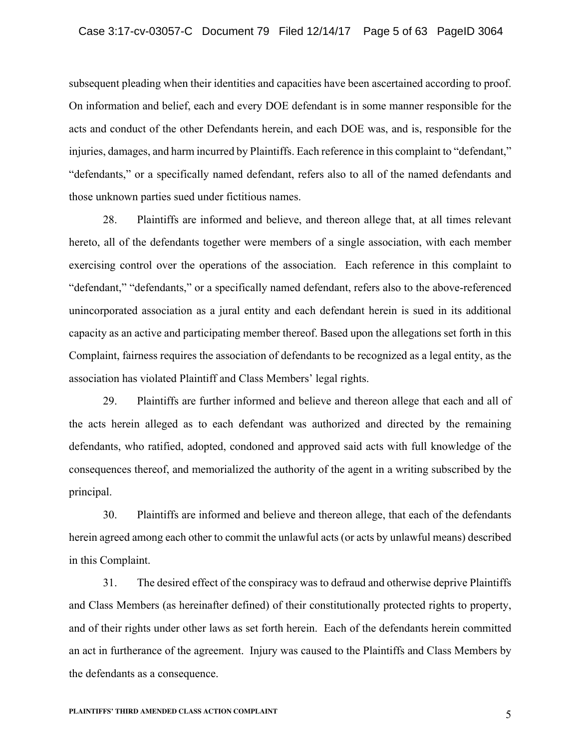subsequent pleading when their identities and capacities have been ascertained according to proof. On information and belief, each and every DOE defendant is in some manner responsible for the acts and conduct of the other Defendants herein, and each DOE was, and is, responsible for the injuries, damages, and harm incurred by Plaintiffs. Each reference in this complaint to "defendant," "defendants," or a specifically named defendant, refers also to all of the named defendants and those unknown parties sued under fictitious names.

28. Plaintiffs are informed and believe, and thereon allege that, at all times relevant hereto, all of the defendants together were members of a single association, with each member exercising control over the operations of the association. Each reference in this complaint to "defendant," "defendants," or a specifically named defendant, refers also to the above-referenced unincorporated association as a jural entity and each defendant herein is sued in its additional capacity as an active and participating member thereof. Based upon the allegations set forth in this Complaint, fairness requires the association of defendants to be recognized as a legal entity, as the association has violated Plaintiff and Class Members' legal rights.

29. Plaintiffs are further informed and believe and thereon allege that each and all of the acts herein alleged as to each defendant was authorized and directed by the remaining defendants, who ratified, adopted, condoned and approved said acts with full knowledge of the consequences thereof, and memorialized the authority of the agent in a writing subscribed by the principal.

30. Plaintiffs are informed and believe and thereon allege, that each of the defendants herein agreed among each other to commit the unlawful acts (or acts by unlawful means) described in this Complaint.

31. The desired effect of the conspiracy was to defraud and otherwise deprive Plaintiffs and Class Members (as hereinafter defined) of their constitutionally protected rights to property, and of their rights under other laws as set forth herein. Each of the defendants herein committed an act in furtherance of the agreement. Injury was caused to the Plaintiffs and Class Members by the defendants as a consequence.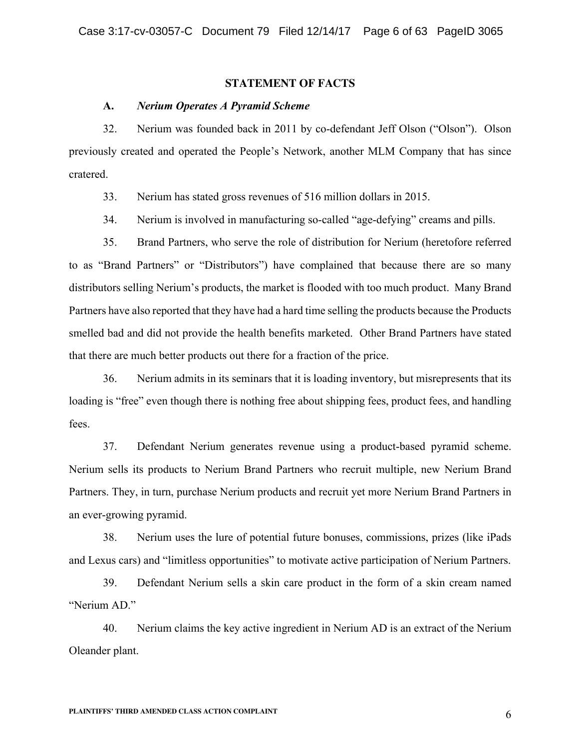### **STATEMENT OF FACTS**

#### **A.** *Nerium Operates A Pyramid Scheme*

32. Nerium was founded back in 2011 by co-defendant Jeff Olson ("Olson"). Olson previously created and operated the People's Network, another MLM Company that has since cratered.

33. Nerium has stated gross revenues of 516 million dollars in 2015.

34. Nerium is involved in manufacturing so-called "age-defying" creams and pills.

35. Brand Partners, who serve the role of distribution for Nerium (heretofore referred to as "Brand Partners" or "Distributors") have complained that because there are so many distributors selling Nerium's products, the market is flooded with too much product. Many Brand Partners have also reported that they have had a hard time selling the products because the Products smelled bad and did not provide the health benefits marketed. Other Brand Partners have stated that there are much better products out there for a fraction of the price.

36. Nerium admits in its seminars that it is loading inventory, but misrepresents that its loading is "free" even though there is nothing free about shipping fees, product fees, and handling fees.

37. Defendant Nerium generates revenue using a product-based pyramid scheme. Nerium sells its products to Nerium Brand Partners who recruit multiple, new Nerium Brand Partners. They, in turn, purchase Nerium products and recruit yet more Nerium Brand Partners in an ever-growing pyramid.

38. Nerium uses the lure of potential future bonuses, commissions, prizes (like iPads and Lexus cars) and "limitless opportunities" to motivate active participation of Nerium Partners.

39. Defendant Nerium sells a skin care product in the form of a skin cream named "Nerium AD."

40. Nerium claims the key active ingredient in Nerium AD is an extract of the Nerium Oleander plant.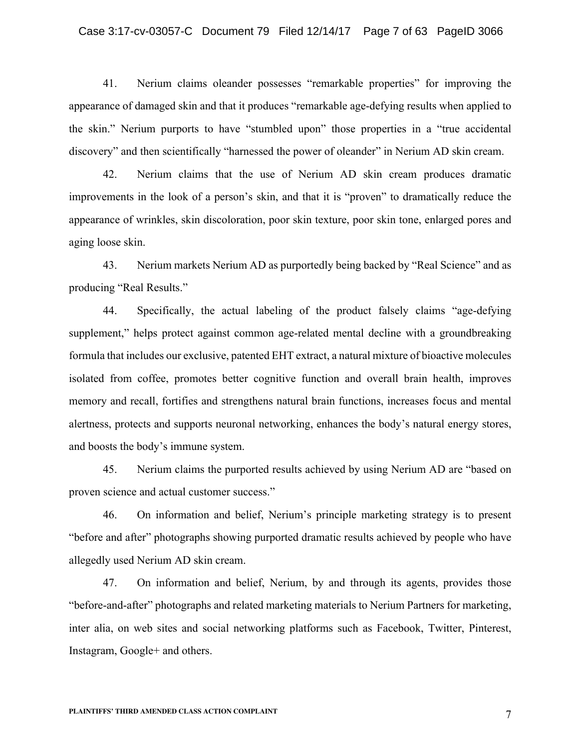#### Case 3:17-cv-03057-C Document 79 Filed 12/14/17 Page 7 of 63 PageID 3066

41. Nerium claims oleander possesses "remarkable properties" for improving the appearance of damaged skin and that it produces "remarkable age-defying results when applied to the skin." Nerium purports to have "stumbled upon" those properties in a "true accidental discovery" and then scientifically "harnessed the power of oleander" in Nerium AD skin cream.

42. Nerium claims that the use of Nerium AD skin cream produces dramatic improvements in the look of a person's skin, and that it is "proven" to dramatically reduce the appearance of wrinkles, skin discoloration, poor skin texture, poor skin tone, enlarged pores and aging loose skin.

43. Nerium markets Nerium AD as purportedly being backed by "Real Science" and as producing "Real Results."

44. Specifically, the actual labeling of the product falsely claims "age-defying supplement," helps protect against common age-related mental decline with a groundbreaking formula that includes our exclusive, patented EHT extract, a natural mixture of bioactive molecules isolated from coffee, promotes better cognitive function and overall brain health, improves memory and recall, fortifies and strengthens natural brain functions, increases focus and mental alertness, protects and supports neuronal networking, enhances the body's natural energy stores, and boosts the body's immune system.

45. Nerium claims the purported results achieved by using Nerium AD are "based on proven science and actual customer success."

46. On information and belief, Nerium's principle marketing strategy is to present "before and after" photographs showing purported dramatic results achieved by people who have allegedly used Nerium AD skin cream.

47. On information and belief, Nerium, by and through its agents, provides those "before-and-after" photographs and related marketing materials to Nerium Partners for marketing, inter alia, on web sites and social networking platforms such as Facebook, Twitter, Pinterest, Instagram, Google+ and others.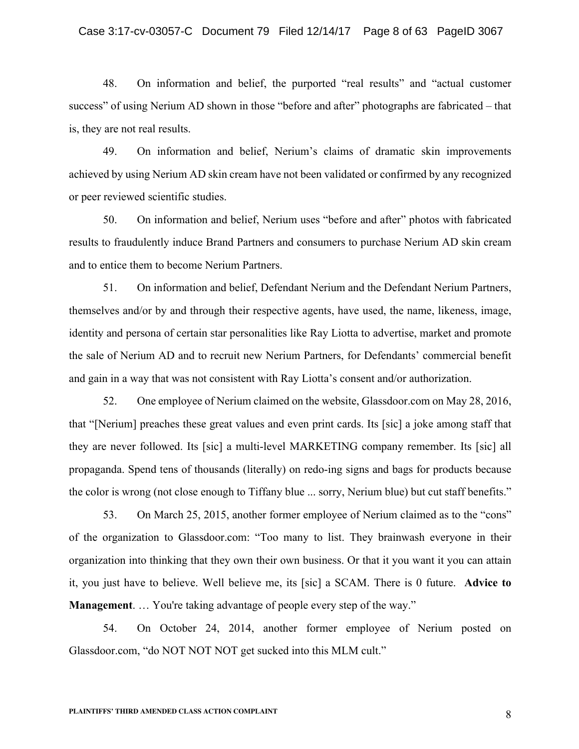### Case 3:17-cv-03057-C Document 79 Filed 12/14/17 Page 8 of 63 PageID 3067

48. On information and belief, the purported "real results" and "actual customer success" of using Nerium AD shown in those "before and after" photographs are fabricated – that is, they are not real results.

49. On information and belief, Nerium's claims of dramatic skin improvements achieved by using Nerium AD skin cream have not been validated or confirmed by any recognized or peer reviewed scientific studies.

50. On information and belief, Nerium uses "before and after" photos with fabricated results to fraudulently induce Brand Partners and consumers to purchase Nerium AD skin cream and to entice them to become Nerium Partners.

51. On information and belief, Defendant Nerium and the Defendant Nerium Partners, themselves and/or by and through their respective agents, have used, the name, likeness, image, identity and persona of certain star personalities like Ray Liotta to advertise, market and promote the sale of Nerium AD and to recruit new Nerium Partners, for Defendants' commercial benefit and gain in a way that was not consistent with Ray Liotta's consent and/or authorization.

52. One employee of Nerium claimed on the website, Glassdoor.com on May 28, 2016, that "[Nerium] preaches these great values and even print cards. Its [sic] a joke among staff that they are never followed. Its [sic] a multi-level MARKETING company remember. Its [sic] all propaganda. Spend tens of thousands (literally) on redo-ing signs and bags for products because the color is wrong (not close enough to Tiffany blue ... sorry, Nerium blue) but cut staff benefits."

53. On March 25, 2015, another former employee of Nerium claimed as to the "cons" of the organization to Glassdoor.com: "Too many to list. They brainwash everyone in their organization into thinking that they own their own business. Or that it you want it you can attain it, you just have to believe. Well believe me, its [sic] a SCAM. There is 0 future. **Advice to Management.** ... You're taking advantage of people every step of the way."

54. On October 24, 2014, another former employee of Nerium posted on Glassdoor.com, "do NOT NOT NOT get sucked into this MLM cult."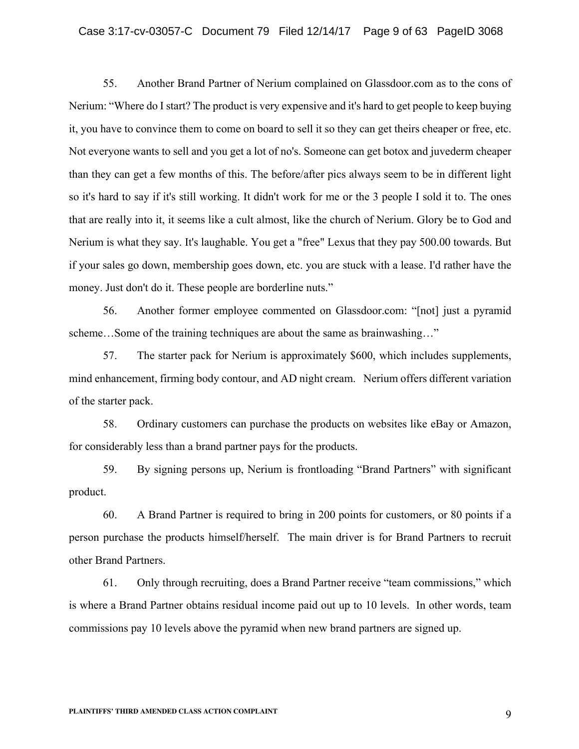#### Case 3:17-cv-03057-C Document 79 Filed 12/14/17 Page 9 of 63 PageID 3068

55. Another Brand Partner of Nerium complained on Glassdoor.com as to the cons of Nerium: "Where do I start? The product is very expensive and it's hard to get people to keep buying it, you have to convince them to come on board to sell it so they can get theirs cheaper or free, etc. Not everyone wants to sell and you get a lot of no's. Someone can get botox and juvederm cheaper than they can get a few months of this. The before/after pics always seem to be in different light so it's hard to say if it's still working. It didn't work for me or the 3 people I sold it to. The ones that are really into it, it seems like a cult almost, like the church of Nerium. Glory be to God and Nerium is what they say. It's laughable. You get a "free" Lexus that they pay 500.00 towards. But if your sales go down, membership goes down, etc. you are stuck with a lease. I'd rather have the money. Just don't do it. These people are borderline nuts."

56. Another former employee commented on Glassdoor.com: "[not] just a pyramid scheme…Some of the training techniques are about the same as brainwashing…"

57. The starter pack for Nerium is approximately \$600, which includes supplements, mind enhancement, firming body contour, and AD night cream. Nerium offers different variation of the starter pack.

58. Ordinary customers can purchase the products on websites like eBay or Amazon, for considerably less than a brand partner pays for the products.

59. By signing persons up, Nerium is frontloading "Brand Partners" with significant product.

60. A Brand Partner is required to bring in 200 points for customers, or 80 points if a person purchase the products himself/herself. The main driver is for Brand Partners to recruit other Brand Partners.

61. Only through recruiting, does a Brand Partner receive "team commissions," which is where a Brand Partner obtains residual income paid out up to 10 levels. In other words, team commissions pay 10 levels above the pyramid when new brand partners are signed up.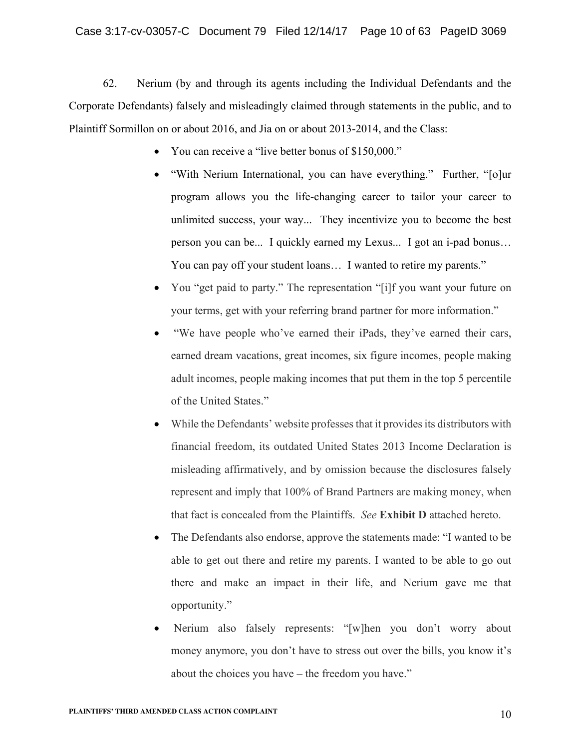62. Nerium (by and through its agents including the Individual Defendants and the Corporate Defendants) falsely and misleadingly claimed through statements in the public, and to Plaintiff Sormillon on or about 2016, and Jia on or about 2013-2014, and the Class:

- You can receive a "live better bonus of \$150,000."
- "With Nerium International, you can have everything." Further, "[o]ur program allows you the life-changing career to tailor your career to unlimited success, your way... They incentivize you to become the best person you can be... I quickly earned my Lexus... I got an i-pad bonus… You can pay off your student loans… I wanted to retire my parents."
- You "get paid to party." The representation "[i]f you want your future on your terms, get with your referring brand partner for more information."
- "We have people who've earned their iPads, they've earned their cars, earned dream vacations, great incomes, six figure incomes, people making adult incomes, people making incomes that put them in the top 5 percentile of the United States."
- While the Defendants' website professes that it provides its distributors with financial freedom, its outdated United States 2013 Income Declaration is misleading affirmatively, and by omission because the disclosures falsely represent and imply that 100% of Brand Partners are making money, when that fact is concealed from the Plaintiffs. *See* **Exhibit D** attached hereto.
- The Defendants also endorse, approve the statements made: "I wanted to be able to get out there and retire my parents. I wanted to be able to go out there and make an impact in their life, and Nerium gave me that opportunity."
- Nerium also falsely represents: "[w]hen you don't worry about money anymore, you don't have to stress out over the bills, you know it's about the choices you have – the freedom you have."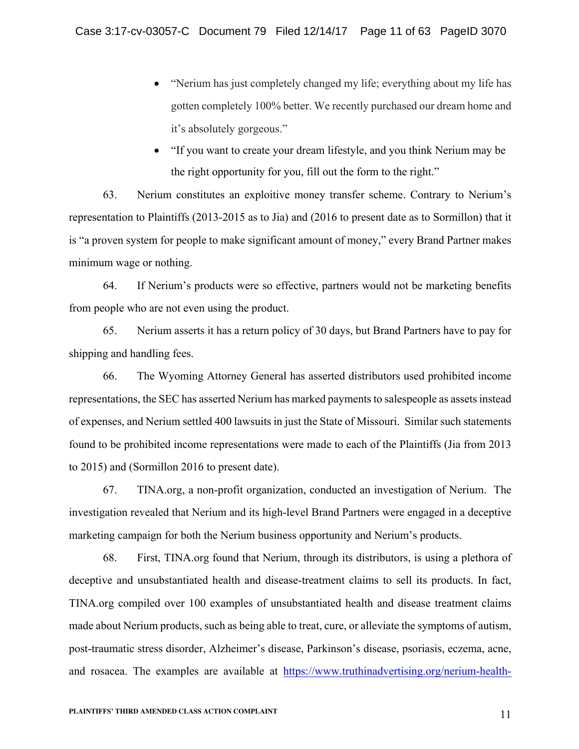- "Nerium has just completely changed my life; everything about my life has gotten completely 100% better. We recently purchased our dream home and it's absolutely gorgeous."
- "If you want to create your dream lifestyle, and you think Nerium may be the right opportunity for you, fill out the form to the right."

63. Nerium constitutes an exploitive money transfer scheme. Contrary to Nerium's representation to Plaintiffs (2013-2015 as to Jia) and (2016 to present date as to Sormillon) that it is "a proven system for people to make significant amount of money," every Brand Partner makes minimum wage or nothing.

64. If Nerium's products were so effective, partners would not be marketing benefits from people who are not even using the product.

65. Nerium asserts it has a return policy of 30 days, but Brand Partners have to pay for shipping and handling fees.

66. The Wyoming Attorney General has asserted distributors used prohibited income representations, the SEC has asserted Nerium has marked payments to salespeople as assets instead of expenses, and Nerium settled 400 lawsuits in just the State of Missouri. Similar such statements found to be prohibited income representations were made to each of the Plaintiffs (Jia from 2013 to 2015) and (Sormillon 2016 to present date).

67. TINA.org, a non-profit organization, conducted an investigation of Nerium. The investigation revealed that Nerium and its high-level Brand Partners were engaged in a deceptive marketing campaign for both the Nerium business opportunity and Nerium's products.

68. First, TINA.org found that Nerium, through its distributors, is using a plethora of deceptive and unsubstantiated health and disease-treatment claims to sell its products. In fact, TINA.org compiled over 100 examples of unsubstantiated health and disease treatment claims made about Nerium products, such as being able to treat, cure, or alleviate the symptoms of autism, post-traumatic stress disorder, Alzheimer's disease, Parkinson's disease, psoriasis, eczema, acne, and rosacea. The examples are available at https://www.truthinadvertising.org/nerium-health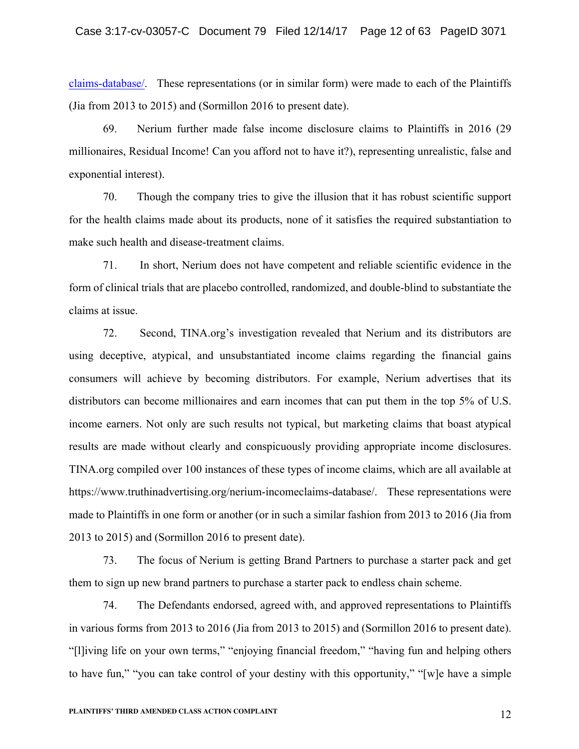claims-database/. These representations (or in similar form) were made to each of the Plaintiffs (Jia from 2013 to 2015) and (Sormillon 2016 to present date).

69. Nerium further made false income disclosure claims to Plaintiffs in 2016 (29 millionaires, Residual Income! Can you afford not to have it?), representing unrealistic, false and exponential interest).

70. Though the company tries to give the illusion that it has robust scientific support for the health claims made about its products, none of it satisfies the required substantiation to make such health and disease-treatment claims.

71. In short, Nerium does not have competent and reliable scientific evidence in the form of clinical trials that are placebo controlled, randomized, and double-blind to substantiate the claims at issue.

72. Second, TINA.org's investigation revealed that Nerium and its distributors are using deceptive, atypical, and unsubstantiated income claims regarding the financial gains consumers will achieve by becoming distributors. For example, Nerium advertises that its distributors can become millionaires and earn incomes that can put them in the top 5% of U.S. income earners. Not only are such results not typical, but marketing claims that boast atypical results are made without clearly and conspicuously providing appropriate income disclosures. TINA.org compiled over 100 instances of these types of income claims, which are all available at https://www.truthinadvertising.org/nerium-incomeclaims-database/. These representations were made to Plaintiffs in one form or another (or in such a similar fashion from 2013 to 2016 (Jia from 2013 to 2015) and (Sormillon 2016 to present date).

73. The focus of Nerium is getting Brand Partners to purchase a starter pack and get them to sign up new brand partners to purchase a starter pack to endless chain scheme.

74. The Defendants endorsed, agreed with, and approved representations to Plaintiffs in various forms from 2013 to 2016 (Jia from 2013 to 2015) and (Sormillon 2016 to present date). "[l]iving life on your own terms," "enjoying financial freedom," "having fun and helping others to have fun," "you can take control of your destiny with this opportunity," "[w]e have a simple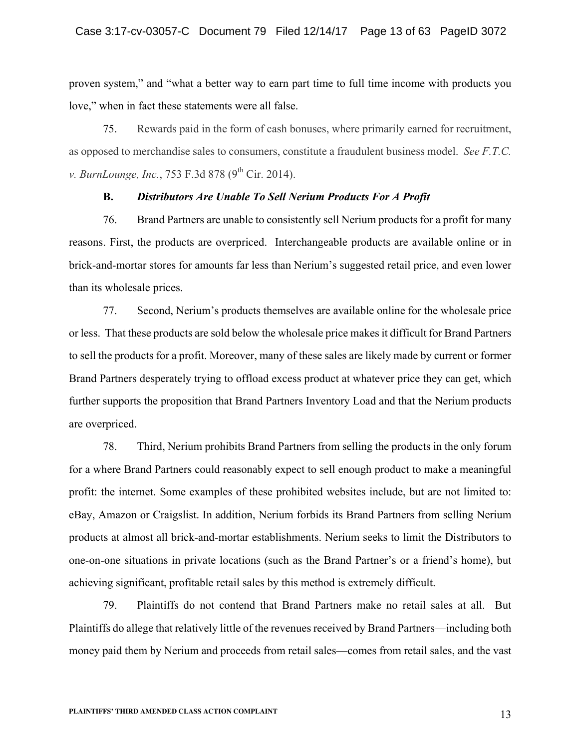proven system," and "what a better way to earn part time to full time income with products you love," when in fact these statements were all false.

75. Rewards paid in the form of cash bonuses, where primarily earned for recruitment, as opposed to merchandise sales to consumers, constitute a fraudulent business model. *See F.T.C. v. BurnLounge, Inc.*, 753 F.3d 878 (9<sup>th</sup> Cir. 2014).

#### **B.** *Distributors Are Unable To Sell Nerium Products For A Profit*

76. Brand Partners are unable to consistently sell Nerium products for a profit for many reasons. First, the products are overpriced. Interchangeable products are available online or in brick-and-mortar stores for amounts far less than Nerium's suggested retail price, and even lower than its wholesale prices.

77. Second, Nerium's products themselves are available online for the wholesale price or less. That these products are sold below the wholesale price makes it difficult for Brand Partners to sell the products for a profit. Moreover, many of these sales are likely made by current or former Brand Partners desperately trying to offload excess product at whatever price they can get, which further supports the proposition that Brand Partners Inventory Load and that the Nerium products are overpriced.

78. Third, Nerium prohibits Brand Partners from selling the products in the only forum for a where Brand Partners could reasonably expect to sell enough product to make a meaningful profit: the internet. Some examples of these prohibited websites include, but are not limited to: eBay, Amazon or Craigslist. In addition, Nerium forbids its Brand Partners from selling Nerium products at almost all brick-and-mortar establishments. Nerium seeks to limit the Distributors to one-on-one situations in private locations (such as the Brand Partner's or a friend's home), but achieving significant, profitable retail sales by this method is extremely difficult.

79. Plaintiffs do not contend that Brand Partners make no retail sales at all. But Plaintiffs do allege that relatively little of the revenues received by Brand Partners—including both money paid them by Nerium and proceeds from retail sales—comes from retail sales, and the vast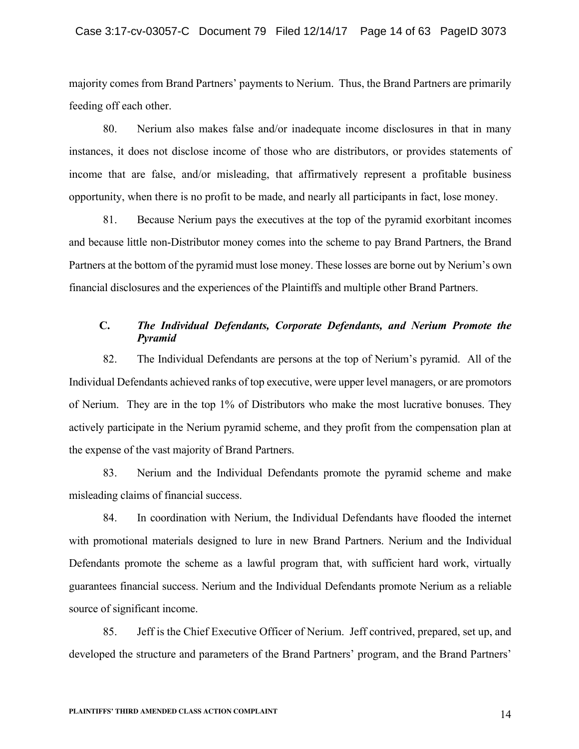majority comes from Brand Partners' payments to Nerium. Thus, the Brand Partners are primarily feeding off each other.

80. Nerium also makes false and/or inadequate income disclosures in that in many instances, it does not disclose income of those who are distributors, or provides statements of income that are false, and/or misleading, that affirmatively represent a profitable business opportunity, when there is no profit to be made, and nearly all participants in fact, lose money.

81. Because Nerium pays the executives at the top of the pyramid exorbitant incomes and because little non-Distributor money comes into the scheme to pay Brand Partners, the Brand Partners at the bottom of the pyramid must lose money. These losses are borne out by Nerium's own financial disclosures and the experiences of the Plaintiffs and multiple other Brand Partners.

# **C.** *The Individual Defendants, Corporate Defendants, and Nerium Promote the Pyramid*

82. The Individual Defendants are persons at the top of Nerium's pyramid. All of the Individual Defendants achieved ranks of top executive, were upper level managers, or are promotors of Nerium. They are in the top 1% of Distributors who make the most lucrative bonuses. They actively participate in the Nerium pyramid scheme, and they profit from the compensation plan at the expense of the vast majority of Brand Partners.

83. Nerium and the Individual Defendants promote the pyramid scheme and make misleading claims of financial success.

84. In coordination with Nerium, the Individual Defendants have flooded the internet with promotional materials designed to lure in new Brand Partners. Nerium and the Individual Defendants promote the scheme as a lawful program that, with sufficient hard work, virtually guarantees financial success. Nerium and the Individual Defendants promote Nerium as a reliable source of significant income.

85. Jeff is the Chief Executive Officer of Nerium. Jeff contrived, prepared, set up, and developed the structure and parameters of the Brand Partners' program, and the Brand Partners'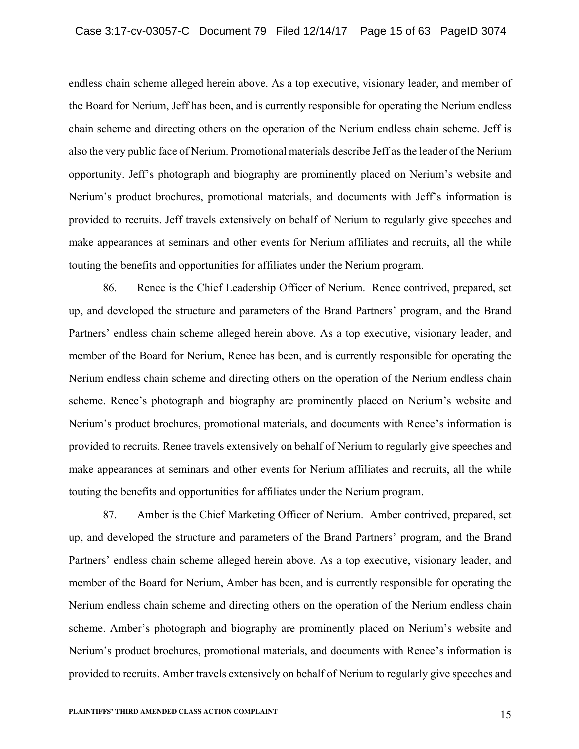endless chain scheme alleged herein above. As a top executive, visionary leader, and member of the Board for Nerium, Jeff has been, and is currently responsible for operating the Nerium endless chain scheme and directing others on the operation of the Nerium endless chain scheme. Jeff is also the very public face of Nerium. Promotional materials describe Jeff as the leader of the Nerium opportunity. Jeff's photograph and biography are prominently placed on Nerium's website and Nerium's product brochures, promotional materials, and documents with Jeff's information is provided to recruits. Jeff travels extensively on behalf of Nerium to regularly give speeches and make appearances at seminars and other events for Nerium affiliates and recruits, all the while touting the benefits and opportunities for affiliates under the Nerium program.

86. Renee is the Chief Leadership Officer of Nerium. Renee contrived, prepared, set up, and developed the structure and parameters of the Brand Partners' program, and the Brand Partners' endless chain scheme alleged herein above. As a top executive, visionary leader, and member of the Board for Nerium, Renee has been, and is currently responsible for operating the Nerium endless chain scheme and directing others on the operation of the Nerium endless chain scheme. Renee's photograph and biography are prominently placed on Nerium's website and Nerium's product brochures, promotional materials, and documents with Renee's information is provided to recruits. Renee travels extensively on behalf of Nerium to regularly give speeches and make appearances at seminars and other events for Nerium affiliates and recruits, all the while touting the benefits and opportunities for affiliates under the Nerium program.

87. Amber is the Chief Marketing Officer of Nerium. Amber contrived, prepared, set up, and developed the structure and parameters of the Brand Partners' program, and the Brand Partners' endless chain scheme alleged herein above. As a top executive, visionary leader, and member of the Board for Nerium, Amber has been, and is currently responsible for operating the Nerium endless chain scheme and directing others on the operation of the Nerium endless chain scheme. Amber's photograph and biography are prominently placed on Nerium's website and Nerium's product brochures, promotional materials, and documents with Renee's information is provided to recruits. Amber travels extensively on behalf of Nerium to regularly give speeches and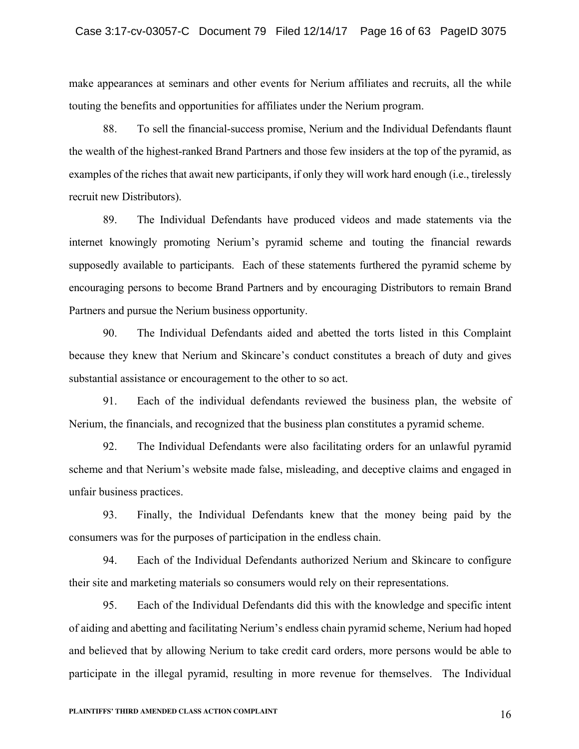make appearances at seminars and other events for Nerium affiliates and recruits, all the while touting the benefits and opportunities for affiliates under the Nerium program.

88. To sell the financial-success promise, Nerium and the Individual Defendants flaunt the wealth of the highest-ranked Brand Partners and those few insiders at the top of the pyramid, as examples of the riches that await new participants, if only they will work hard enough (i.e., tirelessly recruit new Distributors).

89. The Individual Defendants have produced videos and made statements via the internet knowingly promoting Nerium's pyramid scheme and touting the financial rewards supposedly available to participants. Each of these statements furthered the pyramid scheme by encouraging persons to become Brand Partners and by encouraging Distributors to remain Brand Partners and pursue the Nerium business opportunity.

90. The Individual Defendants aided and abetted the torts listed in this Complaint because they knew that Nerium and Skincare's conduct constitutes a breach of duty and gives substantial assistance or encouragement to the other to so act.

91. Each of the individual defendants reviewed the business plan, the website of Nerium, the financials, and recognized that the business plan constitutes a pyramid scheme.

92. The Individual Defendants were also facilitating orders for an unlawful pyramid scheme and that Nerium's website made false, misleading, and deceptive claims and engaged in unfair business practices.

93. Finally, the Individual Defendants knew that the money being paid by the consumers was for the purposes of participation in the endless chain.

94. Each of the Individual Defendants authorized Nerium and Skincare to configure their site and marketing materials so consumers would rely on their representations.

95. Each of the Individual Defendants did this with the knowledge and specific intent of aiding and abetting and facilitating Nerium's endless chain pyramid scheme, Nerium had hoped and believed that by allowing Nerium to take credit card orders, more persons would be able to participate in the illegal pyramid, resulting in more revenue for themselves. The Individual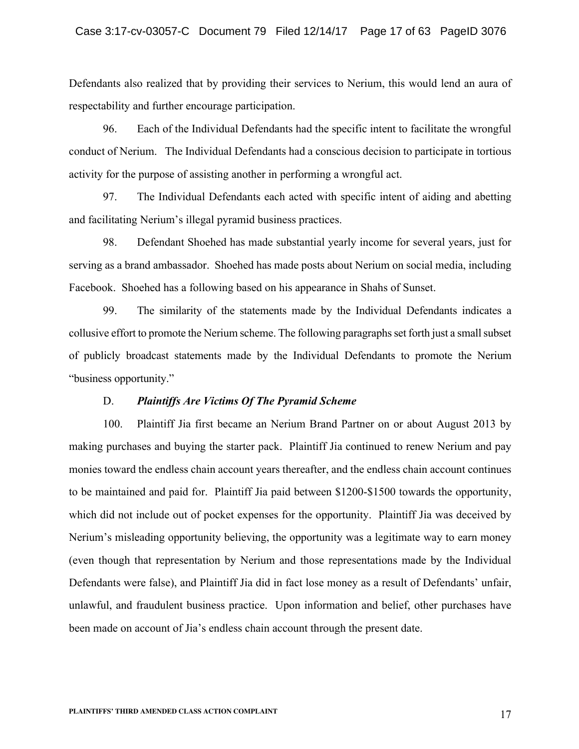Defendants also realized that by providing their services to Nerium, this would lend an aura of respectability and further encourage participation.

96. Each of the Individual Defendants had the specific intent to facilitate the wrongful conduct of Nerium. The Individual Defendants had a conscious decision to participate in tortious activity for the purpose of assisting another in performing a wrongful act.

97. The Individual Defendants each acted with specific intent of aiding and abetting and facilitating Nerium's illegal pyramid business practices.

98. Defendant Shoehed has made substantial yearly income for several years, just for serving as a brand ambassador. Shoehed has made posts about Nerium on social media, including Facebook. Shoehed has a following based on his appearance in Shahs of Sunset.

99. The similarity of the statements made by the Individual Defendants indicates a collusive effort to promote the Nerium scheme. The following paragraphs set forth just a small subset of publicly broadcast statements made by the Individual Defendants to promote the Nerium "business opportunity."

### D. *Plaintiffs Are Victims Of The Pyramid Scheme*

100. Plaintiff Jia first became an Nerium Brand Partner on or about August 2013 by making purchases and buying the starter pack. Plaintiff Jia continued to renew Nerium and pay monies toward the endless chain account years thereafter, and the endless chain account continues to be maintained and paid for. Plaintiff Jia paid between \$1200-\$1500 towards the opportunity, which did not include out of pocket expenses for the opportunity. Plaintiff Jia was deceived by Nerium's misleading opportunity believing, the opportunity was a legitimate way to earn money (even though that representation by Nerium and those representations made by the Individual Defendants were false), and Plaintiff Jia did in fact lose money as a result of Defendants' unfair, unlawful, and fraudulent business practice. Upon information and belief, other purchases have been made on account of Jia's endless chain account through the present date.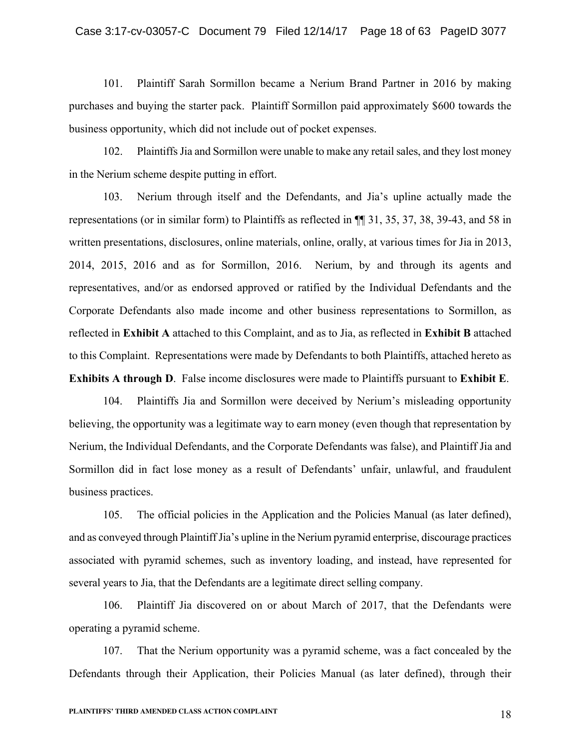101. Plaintiff Sarah Sormillon became a Nerium Brand Partner in 2016 by making purchases and buying the starter pack. Plaintiff Sormillon paid approximately \$600 towards the business opportunity, which did not include out of pocket expenses.

102. Plaintiffs Jia and Sormillon were unable to make any retail sales, and they lost money in the Nerium scheme despite putting in effort.

103. Nerium through itself and the Defendants, and Jia's upline actually made the representations (or in similar form) to Plaintiffs as reflected in ¶¶ 31, 35, 37, 38, 39-43, and 58 in written presentations, disclosures, online materials, online, orally, at various times for Jia in 2013, 2014, 2015, 2016 and as for Sormillon, 2016. Nerium, by and through its agents and representatives, and/or as endorsed approved or ratified by the Individual Defendants and the Corporate Defendants also made income and other business representations to Sormillon, as reflected in **Exhibit A** attached to this Complaint, and as to Jia, as reflected in **Exhibit B** attached to this Complaint. Representations were made by Defendants to both Plaintiffs, attached hereto as **Exhibits A through D**. False income disclosures were made to Plaintiffs pursuant to **Exhibit E**.

104. Plaintiffs Jia and Sormillon were deceived by Nerium's misleading opportunity believing, the opportunity was a legitimate way to earn money (even though that representation by Nerium, the Individual Defendants, and the Corporate Defendants was false), and Plaintiff Jia and Sormillon did in fact lose money as a result of Defendants' unfair, unlawful, and fraudulent business practices.

105. The official policies in the Application and the Policies Manual (as later defined), and as conveyed through Plaintiff Jia's upline in the Nerium pyramid enterprise, discourage practices associated with pyramid schemes, such as inventory loading, and instead, have represented for several years to Jia, that the Defendants are a legitimate direct selling company.

106. Plaintiff Jia discovered on or about March of 2017, that the Defendants were operating a pyramid scheme.

107. That the Nerium opportunity was a pyramid scheme, was a fact concealed by the Defendants through their Application, their Policies Manual (as later defined), through their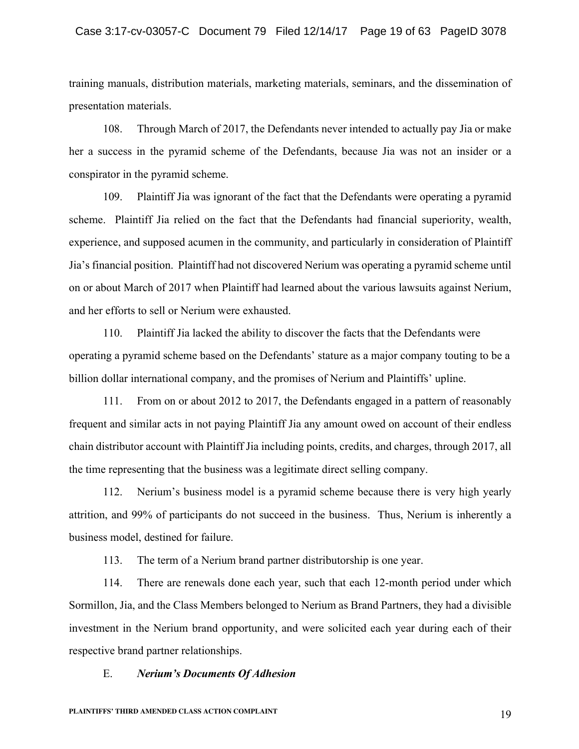training manuals, distribution materials, marketing materials, seminars, and the dissemination of presentation materials.

108. Through March of 2017, the Defendants never intended to actually pay Jia or make her a success in the pyramid scheme of the Defendants, because Jia was not an insider or a conspirator in the pyramid scheme.

109. Plaintiff Jia was ignorant of the fact that the Defendants were operating a pyramid scheme. Plaintiff Jia relied on the fact that the Defendants had financial superiority, wealth, experience, and supposed acumen in the community, and particularly in consideration of Plaintiff Jia's financial position. Plaintiff had not discovered Nerium was operating a pyramid scheme until on or about March of 2017 when Plaintiff had learned about the various lawsuits against Nerium, and her efforts to sell or Nerium were exhausted.

110. Plaintiff Jia lacked the ability to discover the facts that the Defendants were operating a pyramid scheme based on the Defendants' stature as a major company touting to be a billion dollar international company, and the promises of Nerium and Plaintiffs' upline.

111. From on or about 2012 to 2017, the Defendants engaged in a pattern of reasonably frequent and similar acts in not paying Plaintiff Jia any amount owed on account of their endless chain distributor account with Plaintiff Jia including points, credits, and charges, through 2017, all the time representing that the business was a legitimate direct selling company.

112. Nerium's business model is a pyramid scheme because there is very high yearly attrition, and 99% of participants do not succeed in the business. Thus, Nerium is inherently a business model, destined for failure.

113. The term of a Nerium brand partner distributorship is one year.

114. There are renewals done each year, such that each 12-month period under which Sormillon, Jia, and the Class Members belonged to Nerium as Brand Partners, they had a divisible investment in the Nerium brand opportunity, and were solicited each year during each of their respective brand partner relationships.

### E. *Nerium's Documents Of Adhesion*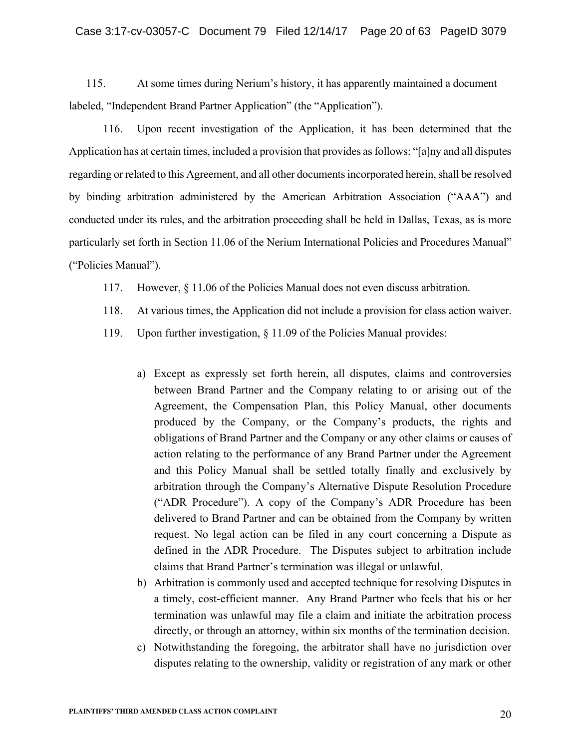115. At some times during Nerium's history, it has apparently maintained a document labeled, "Independent Brand Partner Application" (the "Application").

116. Upon recent investigation of the Application, it has been determined that the Application has at certain times, included a provision that provides as follows: "[a]ny and all disputes regarding or related to this Agreement, and all other documents incorporated herein, shall be resolved by binding arbitration administered by the American Arbitration Association ("AAA") and conducted under its rules, and the arbitration proceeding shall be held in Dallas, Texas, as is more particularly set forth in Section 11.06 of the Nerium International Policies and Procedures Manual" ("Policies Manual").

- 117. However, § 11.06 of the Policies Manual does not even discuss arbitration.
- 118. At various times, the Application did not include a provision for class action waiver.
- 119. Upon further investigation, § 11.09 of the Policies Manual provides:
	- a) Except as expressly set forth herein, all disputes, claims and controversies between Brand Partner and the Company relating to or arising out of the Agreement, the Compensation Plan, this Policy Manual, other documents produced by the Company, or the Company's products, the rights and obligations of Brand Partner and the Company or any other claims or causes of action relating to the performance of any Brand Partner under the Agreement and this Policy Manual shall be settled totally finally and exclusively by arbitration through the Company's Alternative Dispute Resolution Procedure ("ADR Procedure"). A copy of the Company's ADR Procedure has been delivered to Brand Partner and can be obtained from the Company by written request. No legal action can be filed in any court concerning a Dispute as defined in the ADR Procedure. The Disputes subject to arbitration include claims that Brand Partner's termination was illegal or unlawful.
	- b) Arbitration is commonly used and accepted technique for resolving Disputes in a timely, cost-efficient manner. Any Brand Partner who feels that his or her termination was unlawful may file a claim and initiate the arbitration process directly, or through an attorney, within six months of the termination decision.
	- c) Notwithstanding the foregoing, the arbitrator shall have no jurisdiction over disputes relating to the ownership, validity or registration of any mark or other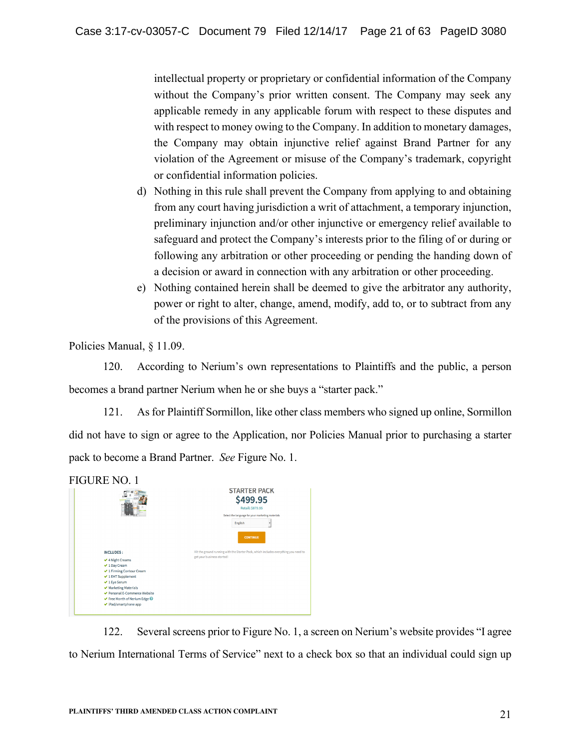intellectual property or proprietary or confidential information of the Company without the Company's prior written consent. The Company may seek any applicable remedy in any applicable forum with respect to these disputes and with respect to money owing to the Company. In addition to monetary damages, the Company may obtain injunctive relief against Brand Partner for any violation of the Agreement or misuse of the Company's trademark, copyright or confidential information policies.

- d) Nothing in this rule shall prevent the Company from applying to and obtaining from any court having jurisdiction a writ of attachment, a temporary injunction, preliminary injunction and/or other injunctive or emergency relief available to safeguard and protect the Company's interests prior to the filing of or during or following any arbitration or other proceeding or pending the handing down of a decision or award in connection with any arbitration or other proceeding.
- e) Nothing contained herein shall be deemed to give the arbitrator any authority, power or right to alter, change, amend, modify, add to, or to subtract from any of the provisions of this Agreement.

Policies Manual, § 11.09.

120. According to Nerium's own representations to Plaintiffs and the public, a person becomes a brand partner Nerium when he or she buys a "starter pack."

121. As for Plaintiff Sormillon, like other class members who signed up online, Sormillon did not have to sign or agree to the Application, nor Policies Manual prior to purchasing a starter pack to become a Brand Partner. *See* Figure No. 1.

|                                                                                                                                                                                                                                                | <b>STARTER PACK</b><br>\$499.95<br><b>Retail: \$879.95</b><br>Select the language for your marketing materials<br><b>English</b><br><b>CONTINUE</b> |  |
|------------------------------------------------------------------------------------------------------------------------------------------------------------------------------------------------------------------------------------------------|-----------------------------------------------------------------------------------------------------------------------------------------------------|--|
| <b>INCLUDES:</b><br>✔ 4 Night Creams<br>✔ 1 Day Cream<br>✔ 1 Firming Contour Cream<br>$\vee$ 1 EHT Supplement<br>✔ 1 Eye Serum<br>✔ Marketing Materials<br>Personal E-Commerce Website<br>Free Month of Nerium Edge @<br>↓ iPad/smartphone app | Hit the ground running with the Starter Pack, which includes everything you need to<br>get your business started!                                   |  |

122. Several screens prior to Figure No. 1, a screen on Nerium's website provides "I agree to Nerium International Terms of Service" next to a check box so that an individual could sign up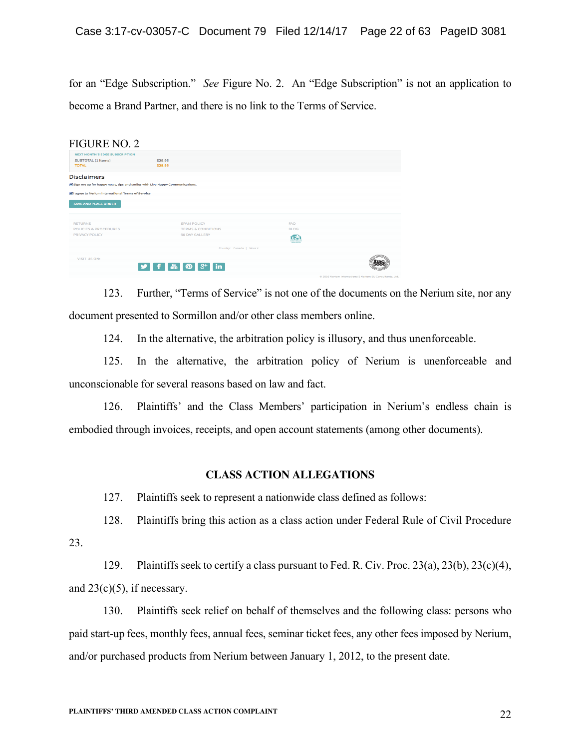for an "Edge Subscription." *See* Figure No. 2. An "Edge Subscription" is not an application to become a Brand Partner, and there is no link to the Terms of Service.

| <b>FIGURE NO. 2</b>                                                           |                               |                                |                                                                  |
|-------------------------------------------------------------------------------|-------------------------------|--------------------------------|------------------------------------------------------------------|
| <b>NEXT MONTH'S EDGE SUBSCRIPTION</b>                                         |                               |                                |                                                                  |
| SUBTOTAL (1 Items)                                                            | \$29.95                       |                                |                                                                  |
| <b>TOTAL</b>                                                                  | \$29.95                       |                                |                                                                  |
| <b>Disclaimers</b>                                                            |                               |                                |                                                                  |
| of Sign me up for happy news, tips and smiles with Live Happy Communications. |                               |                                |                                                                  |
| I agree to Nerium International Terms of Service                              |                               |                                |                                                                  |
| <b>SAVE AND PLACE ORDER</b>                                                   |                               |                                |                                                                  |
|                                                                               |                               |                                |                                                                  |
| <b>RETURNS</b>                                                                | <b>SPAM POLICY</b>            | <b>FAO</b>                     |                                                                  |
| POLICIES & PROCEDURES                                                         | <b>TERMS &amp; CONDITIONS</b> | <b>BLOG</b>                    |                                                                  |
| PRIVACY POLICY                                                                | 90 DAY GALLERY                | <b>OSP</b>                     |                                                                  |
|                                                                               |                               | <b>HANY FRIA</b><br>AMOCLAPICA |                                                                  |
|                                                                               | Country: Canada   More =      |                                |                                                                  |
| VISIT US ON:                                                                  |                               |                                |                                                                  |
|                                                                               |                               |                                | Ime                                                              |
|                                                                               |                               |                                | 40-2012 Marshaw International Librarian P11-Concertingen Library |

123. Further, "Terms of Service" is not one of the documents on the Nerium site, nor any document presented to Sormillon and/or other class members online.

124. In the alternative, the arbitration policy is illusory, and thus unenforceable.

125. In the alternative, the arbitration policy of Nerium is unenforceable and unconscionable for several reasons based on law and fact.

126. Plaintiffs' and the Class Members' participation in Nerium's endless chain is embodied through invoices, receipts, and open account statements (among other documents).

## **CLASS ACTION ALLEGATIONS**

127. Plaintiffs seek to represent a nationwide class defined as follows:

128. Plaintiffs bring this action as a class action under Federal Rule of Civil Procedure

23.

129. Plaintiffs seek to certify a class pursuant to Fed. R. Civ. Proc. 23(a), 23(b), 23(c)(4), and  $23(c)(5)$ , if necessary.

130. Plaintiffs seek relief on behalf of themselves and the following class: persons who paid start-up fees, monthly fees, annual fees, seminar ticket fees, any other fees imposed by Nerium, and/or purchased products from Nerium between January 1, 2012, to the present date.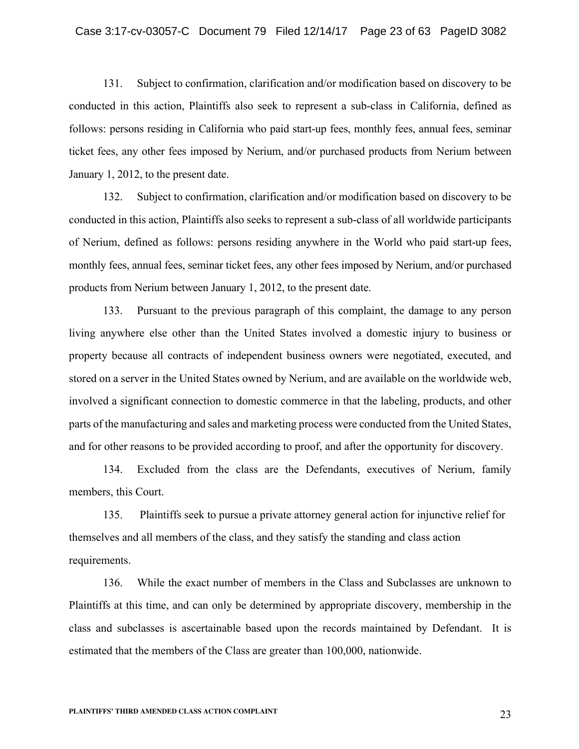131. Subject to confirmation, clarification and/or modification based on discovery to be conducted in this action, Plaintiffs also seek to represent a sub-class in California, defined as follows: persons residing in California who paid start-up fees, monthly fees, annual fees, seminar ticket fees, any other fees imposed by Nerium, and/or purchased products from Nerium between January 1, 2012, to the present date.

132. Subject to confirmation, clarification and/or modification based on discovery to be conducted in this action, Plaintiffs also seeks to represent a sub-class of all worldwide participants of Nerium, defined as follows: persons residing anywhere in the World who paid start-up fees, monthly fees, annual fees, seminar ticket fees, any other fees imposed by Nerium, and/or purchased products from Nerium between January 1, 2012, to the present date.

133. Pursuant to the previous paragraph of this complaint, the damage to any person living anywhere else other than the United States involved a domestic injury to business or property because all contracts of independent business owners were negotiated, executed, and stored on a server in the United States owned by Nerium, and are available on the worldwide web, involved a significant connection to domestic commerce in that the labeling, products, and other parts of the manufacturing and sales and marketing process were conducted from the United States, and for other reasons to be provided according to proof, and after the opportunity for discovery.

134. Excluded from the class are the Defendants, executives of Nerium, family members, this Court.

135. Plaintiffs seek to pursue a private attorney general action for injunctive relief for themselves and all members of the class, and they satisfy the standing and class action requirements.

136. While the exact number of members in the Class and Subclasses are unknown to Plaintiffs at this time, and can only be determined by appropriate discovery, membership in the class and subclasses is ascertainable based upon the records maintained by Defendant. It is estimated that the members of the Class are greater than 100,000, nationwide.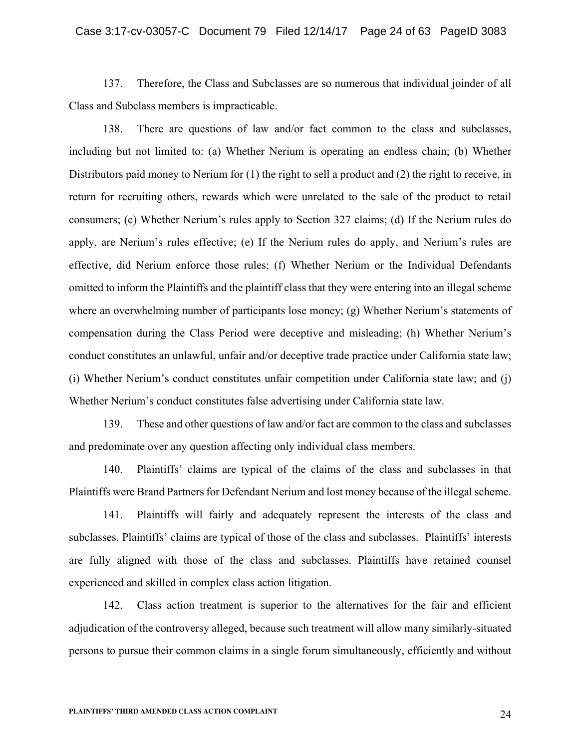137. Therefore, the Class and Subclasses are so numerous that individual joinder of all Class and Subclass members is impracticable.

138. There are questions of law and/or fact common to the class and subclasses, including but not limited to: (a) Whether Nerium is operating an endless chain; (b) Whether Distributors paid money to Nerium for (1) the right to sell a product and (2) the right to receive, in return for recruiting others, rewards which were unrelated to the sale of the product to retail consumers; (c) Whether Nerium's rules apply to Section 327 claims; (d) If the Nerium rules do apply, are Nerium's rules effective; (e) If the Nerium rules do apply, and Nerium's rules are effective, did Nerium enforce those rules; (f) Whether Nerium or the Individual Defendants omitted to inform the Plaintiffs and the plaintiff class that they were entering into an illegal scheme where an overwhelming number of participants lose money; (g) Whether Nerium's statements of compensation during the Class Period were deceptive and misleading; (h) Whether Nerium's conduct constitutes an unlawful, unfair and/or deceptive trade practice under California state law; (i) Whether Nerium's conduct constitutes unfair competition under California state law; and (j) Whether Nerium's conduct constitutes false advertising under California state law.

139. These and other questions of law and/or fact are common to the class and subclasses and predominate over any question affecting only individual class members.

140. Plaintiffs' claims are typical of the claims of the class and subclasses in that Plaintiffs were Brand Partners for Defendant Nerium and lost money because of the illegal scheme.

141. Plaintiffs will fairly and adequately represent the interests of the class and subclasses. Plaintiffs' claims are typical of those of the class and subclasses. Plaintiffs' interests are fully aligned with those of the class and subclasses. Plaintiffs have retained counsel experienced and skilled in complex class action litigation.

142. Class action treatment is superior to the alternatives for the fair and efficient adjudication of the controversy alleged, because such treatment will allow many similarly-situated persons to pursue their common claims in a single forum simultaneously, efficiently and without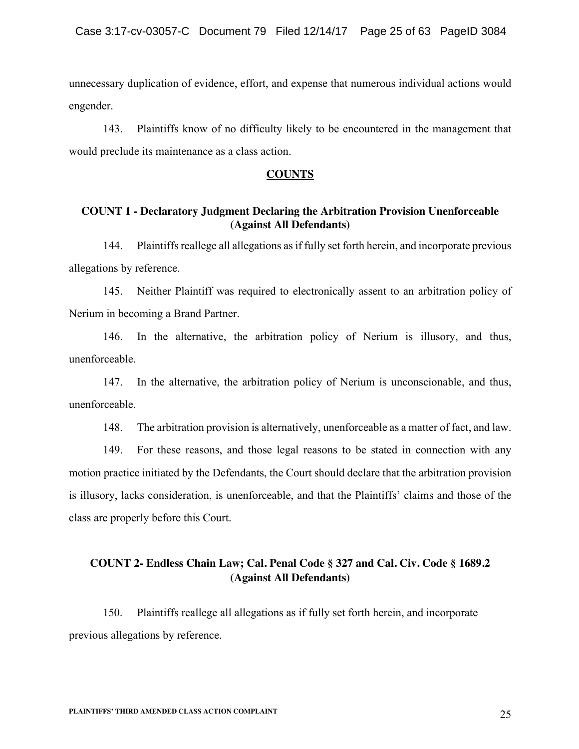unnecessary duplication of evidence, effort, and expense that numerous individual actions would engender.

143. Plaintiffs know of no difficulty likely to be encountered in the management that would preclude its maintenance as a class action.

#### **COUNTS**

## **COUNT 1 - Declaratory Judgment Declaring the Arbitration Provision Unenforceable (Against All Defendants)**

144. Plaintiffs reallege all allegations as if fully set forth herein, and incorporate previous allegations by reference.

145. Neither Plaintiff was required to electronically assent to an arbitration policy of Nerium in becoming a Brand Partner.

146. In the alternative, the arbitration policy of Nerium is illusory, and thus, unenforceable.

147. In the alternative, the arbitration policy of Nerium is unconscionable, and thus, unenforceable.

148. The arbitration provision is alternatively, unenforceable as a matter of fact, and law.

149. For these reasons, and those legal reasons to be stated in connection with any motion practice initiated by the Defendants, the Court should declare that the arbitration provision is illusory, lacks consideration, is unenforceable, and that the Plaintiffs' claims and those of the class are properly before this Court.

# **COUNT 2- Endless Chain Law; Cal. Penal Code § 327 and Cal. Civ. Code § 1689.2 (Against All Defendants)**

150. Plaintiffs reallege all allegations as if fully set forth herein, and incorporate previous allegations by reference.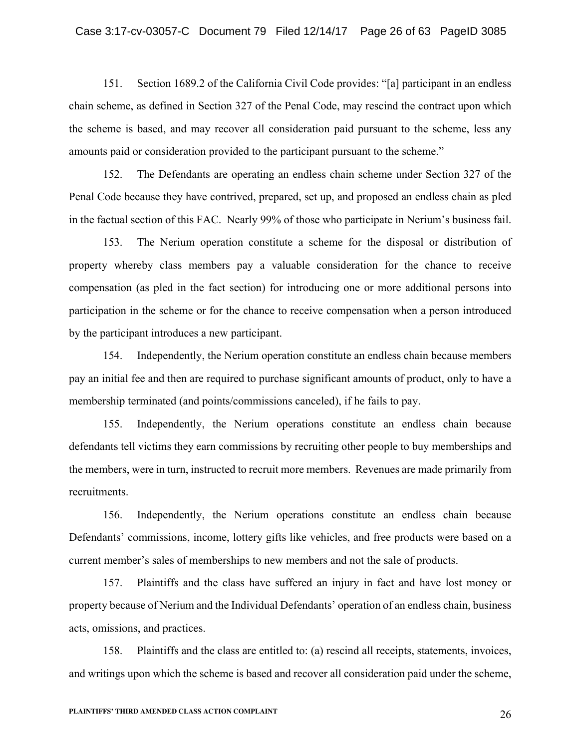151. Section 1689.2 of the California Civil Code provides: "[a] participant in an endless chain scheme, as defined in Section 327 of the Penal Code, may rescind the contract upon which the scheme is based, and may recover all consideration paid pursuant to the scheme, less any amounts paid or consideration provided to the participant pursuant to the scheme."

152. The Defendants are operating an endless chain scheme under Section 327 of the Penal Code because they have contrived, prepared, set up, and proposed an endless chain as pled in the factual section of this FAC. Nearly 99% of those who participate in Nerium's business fail.

153. The Nerium operation constitute a scheme for the disposal or distribution of property whereby class members pay a valuable consideration for the chance to receive compensation (as pled in the fact section) for introducing one or more additional persons into participation in the scheme or for the chance to receive compensation when a person introduced by the participant introduces a new participant.

154. Independently, the Nerium operation constitute an endless chain because members pay an initial fee and then are required to purchase significant amounts of product, only to have a membership terminated (and points/commissions canceled), if he fails to pay.

155. Independently, the Nerium operations constitute an endless chain because defendants tell victims they earn commissions by recruiting other people to buy memberships and the members, were in turn, instructed to recruit more members. Revenues are made primarily from recruitments.

156. Independently, the Nerium operations constitute an endless chain because Defendants' commissions, income, lottery gifts like vehicles, and free products were based on a current member's sales of memberships to new members and not the sale of products.

157. Plaintiffs and the class have suffered an injury in fact and have lost money or property because of Nerium and the Individual Defendants' operation of an endless chain, business acts, omissions, and practices.

158. Plaintiffs and the class are entitled to: (a) rescind all receipts, statements, invoices, and writings upon which the scheme is based and recover all consideration paid under the scheme,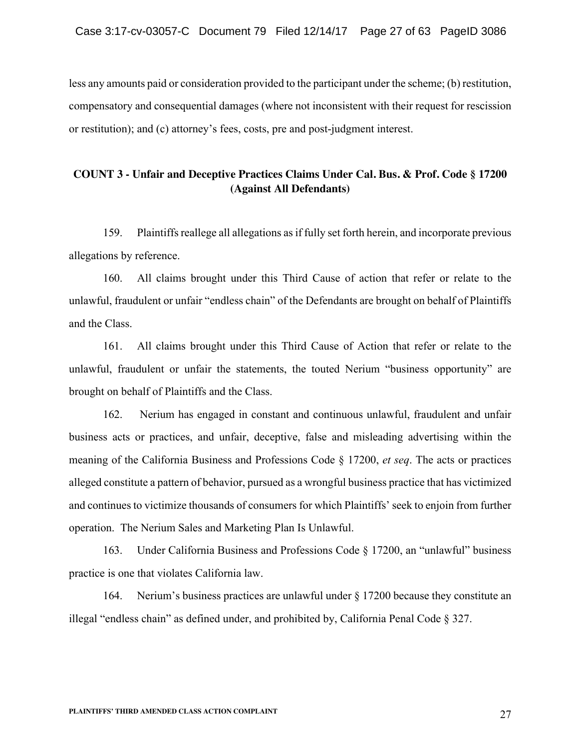less any amounts paid or consideration provided to the participant under the scheme; (b) restitution, compensatory and consequential damages (where not inconsistent with their request for rescission or restitution); and (c) attorney's fees, costs, pre and post-judgment interest.

# **COUNT 3 - Unfair and Deceptive Practices Claims Under Cal. Bus. & Prof. Code § 17200 (Against All Defendants)**

159. Plaintiffs reallege all allegations as if fully set forth herein, and incorporate previous allegations by reference.

160. All claims brought under this Third Cause of action that refer or relate to the unlawful, fraudulent or unfair "endless chain" of the Defendants are brought on behalf of Plaintiffs and the Class.

161. All claims brought under this Third Cause of Action that refer or relate to the unlawful, fraudulent or unfair the statements, the touted Nerium "business opportunity" are brought on behalf of Plaintiffs and the Class.

162. Nerium has engaged in constant and continuous unlawful, fraudulent and unfair business acts or practices, and unfair, deceptive, false and misleading advertising within the meaning of the California Business and Professions Code § 17200, *et seq*. The acts or practices alleged constitute a pattern of behavior, pursued as a wrongful business practice that has victimized and continues to victimize thousands of consumers for which Plaintiffs' seek to enjoin from further operation. The Nerium Sales and Marketing Plan Is Unlawful.

163. Under California Business and Professions Code § 17200, an "unlawful" business practice is one that violates California law.

164. Nerium's business practices are unlawful under § 17200 because they constitute an illegal "endless chain" as defined under, and prohibited by, California Penal Code § 327.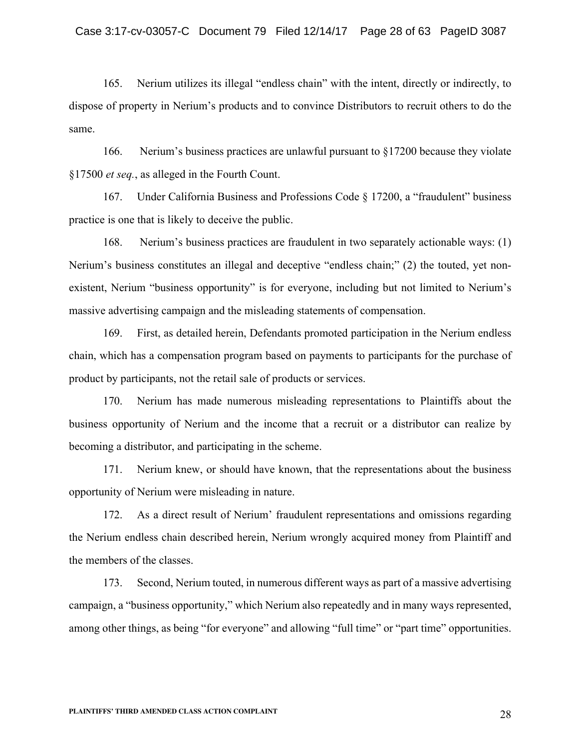165. Nerium utilizes its illegal "endless chain" with the intent, directly or indirectly, to dispose of property in Nerium's products and to convince Distributors to recruit others to do the same.

166. Nerium's business practices are unlawful pursuant to §17200 because they violate §17500 *et seq.*, as alleged in the Fourth Count.

167. Under California Business and Professions Code § 17200, a "fraudulent" business practice is one that is likely to deceive the public.

168. Nerium's business practices are fraudulent in two separately actionable ways: (1) Nerium's business constitutes an illegal and deceptive "endless chain;" (2) the touted, yet nonexistent, Nerium "business opportunity" is for everyone, including but not limited to Nerium's massive advertising campaign and the misleading statements of compensation.

169. First, as detailed herein, Defendants promoted participation in the Nerium endless chain, which has a compensation program based on payments to participants for the purchase of product by participants, not the retail sale of products or services.

170. Nerium has made numerous misleading representations to Plaintiffs about the business opportunity of Nerium and the income that a recruit or a distributor can realize by becoming a distributor, and participating in the scheme.

171. Nerium knew, or should have known, that the representations about the business opportunity of Nerium were misleading in nature.

172. As a direct result of Nerium' fraudulent representations and omissions regarding the Nerium endless chain described herein, Nerium wrongly acquired money from Plaintiff and the members of the classes.

173. Second, Nerium touted, in numerous different ways as part of a massive advertising campaign, a "business opportunity," which Nerium also repeatedly and in many ways represented, among other things, as being "for everyone" and allowing "full time" or "part time" opportunities.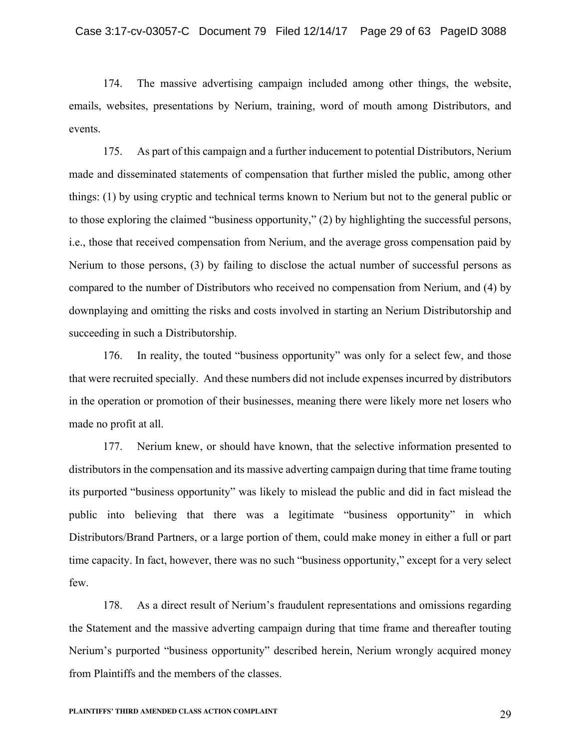174. The massive advertising campaign included among other things, the website, emails, websites, presentations by Nerium, training, word of mouth among Distributors, and events.

175. As part of this campaign and a further inducement to potential Distributors, Nerium made and disseminated statements of compensation that further misled the public, among other things: (1) by using cryptic and technical terms known to Nerium but not to the general public or to those exploring the claimed "business opportunity," (2) by highlighting the successful persons, i.e., those that received compensation from Nerium, and the average gross compensation paid by Nerium to those persons, (3) by failing to disclose the actual number of successful persons as compared to the number of Distributors who received no compensation from Nerium, and (4) by downplaying and omitting the risks and costs involved in starting an Nerium Distributorship and succeeding in such a Distributorship.

176. In reality, the touted "business opportunity" was only for a select few, and those that were recruited specially. And these numbers did not include expenses incurred by distributors in the operation or promotion of their businesses, meaning there were likely more net losers who made no profit at all.

177. Nerium knew, or should have known, that the selective information presented to distributors in the compensation and its massive adverting campaign during that time frame touting its purported "business opportunity" was likely to mislead the public and did in fact mislead the public into believing that there was a legitimate "business opportunity" in which Distributors/Brand Partners, or a large portion of them, could make money in either a full or part time capacity. In fact, however, there was no such "business opportunity," except for a very select few.

178. As a direct result of Nerium's fraudulent representations and omissions regarding the Statement and the massive adverting campaign during that time frame and thereafter touting Nerium's purported "business opportunity" described herein, Nerium wrongly acquired money from Plaintiffs and the members of the classes.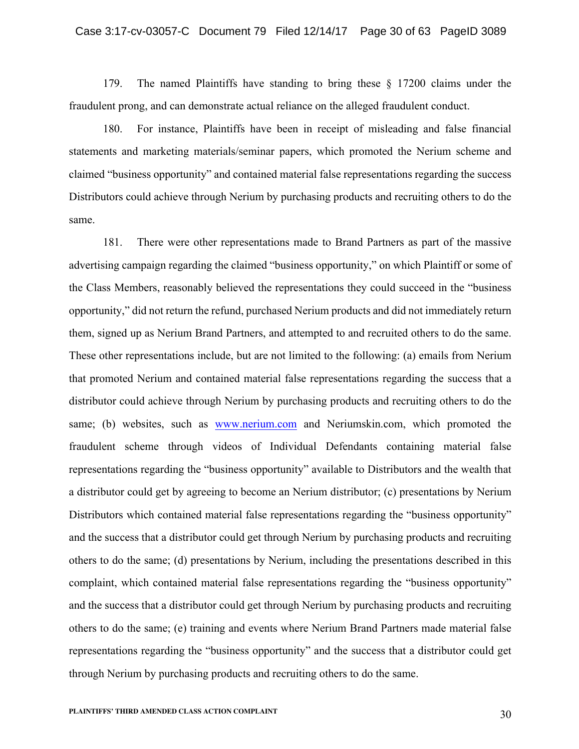179. The named Plaintiffs have standing to bring these § 17200 claims under the fraudulent prong, and can demonstrate actual reliance on the alleged fraudulent conduct.

180. For instance, Plaintiffs have been in receipt of misleading and false financial statements and marketing materials/seminar papers, which promoted the Nerium scheme and claimed "business opportunity" and contained material false representations regarding the success Distributors could achieve through Nerium by purchasing products and recruiting others to do the same.

181. There were other representations made to Brand Partners as part of the massive advertising campaign regarding the claimed "business opportunity," on which Plaintiff or some of the Class Members, reasonably believed the representations they could succeed in the "business opportunity," did not return the refund, purchased Nerium products and did not immediately return them, signed up as Nerium Brand Partners, and attempted to and recruited others to do the same. These other representations include, but are not limited to the following: (a) emails from Nerium that promoted Nerium and contained material false representations regarding the success that a distributor could achieve through Nerium by purchasing products and recruiting others to do the same; (b) websites, such as www.nerium.com and Neriumskin.com, which promoted the fraudulent scheme through videos of Individual Defendants containing material false representations regarding the "business opportunity" available to Distributors and the wealth that a distributor could get by agreeing to become an Nerium distributor; (c) presentations by Nerium Distributors which contained material false representations regarding the "business opportunity" and the success that a distributor could get through Nerium by purchasing products and recruiting others to do the same; (d) presentations by Nerium, including the presentations described in this complaint, which contained material false representations regarding the "business opportunity" and the success that a distributor could get through Nerium by purchasing products and recruiting others to do the same; (e) training and events where Nerium Brand Partners made material false representations regarding the "business opportunity" and the success that a distributor could get through Nerium by purchasing products and recruiting others to do the same.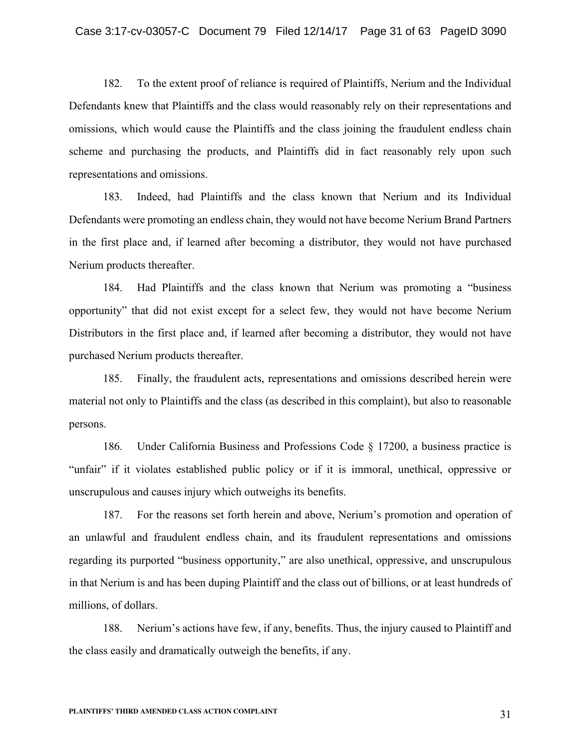182. To the extent proof of reliance is required of Plaintiffs, Nerium and the Individual Defendants knew that Plaintiffs and the class would reasonably rely on their representations and omissions, which would cause the Plaintiffs and the class joining the fraudulent endless chain scheme and purchasing the products, and Plaintiffs did in fact reasonably rely upon such representations and omissions.

183. Indeed, had Plaintiffs and the class known that Nerium and its Individual Defendants were promoting an endless chain, they would not have become Nerium Brand Partners in the first place and, if learned after becoming a distributor, they would not have purchased Nerium products thereafter.

184. Had Plaintiffs and the class known that Nerium was promoting a "business opportunity" that did not exist except for a select few, they would not have become Nerium Distributors in the first place and, if learned after becoming a distributor, they would not have purchased Nerium products thereafter.

185. Finally, the fraudulent acts, representations and omissions described herein were material not only to Plaintiffs and the class (as described in this complaint), but also to reasonable persons.

186. Under California Business and Professions Code § 17200, a business practice is "unfair" if it violates established public policy or if it is immoral, unethical, oppressive or unscrupulous and causes injury which outweighs its benefits.

187. For the reasons set forth herein and above, Nerium's promotion and operation of an unlawful and fraudulent endless chain, and its fraudulent representations and omissions regarding its purported "business opportunity," are also unethical, oppressive, and unscrupulous in that Nerium is and has been duping Plaintiff and the class out of billions, or at least hundreds of millions, of dollars.

188. Nerium's actions have few, if any, benefits. Thus, the injury caused to Plaintiff and the class easily and dramatically outweigh the benefits, if any.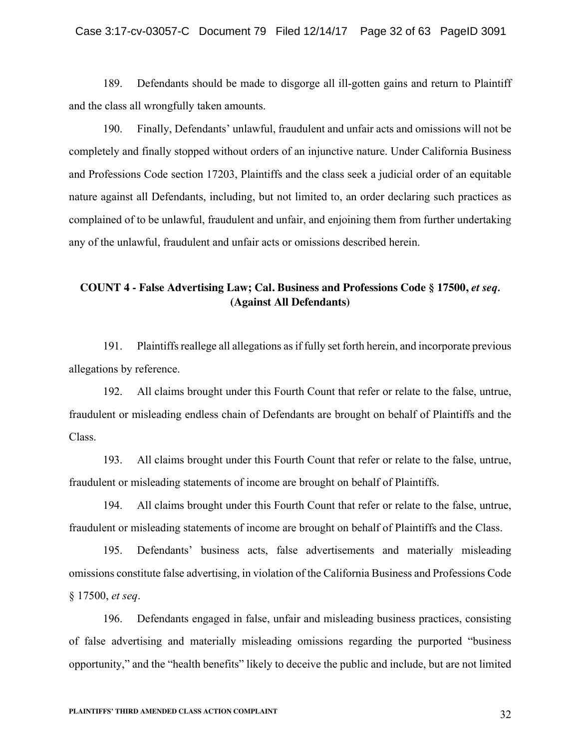189. Defendants should be made to disgorge all ill-gotten gains and return to Plaintiff and the class all wrongfully taken amounts.

190. Finally, Defendants' unlawful, fraudulent and unfair acts and omissions will not be completely and finally stopped without orders of an injunctive nature. Under California Business and Professions Code section 17203, Plaintiffs and the class seek a judicial order of an equitable nature against all Defendants, including, but not limited to, an order declaring such practices as complained of to be unlawful, fraudulent and unfair, and enjoining them from further undertaking any of the unlawful, fraudulent and unfair acts or omissions described herein.

# **COUNT 4 - False Advertising Law; Cal. Business and Professions Code § 17500,** *et seq.* **(Against All Defendants)**

191. Plaintiffs reallege all allegations as if fully set forth herein, and incorporate previous allegations by reference.

192. All claims brought under this Fourth Count that refer or relate to the false, untrue, fraudulent or misleading endless chain of Defendants are brought on behalf of Plaintiffs and the Class.

193. All claims brought under this Fourth Count that refer or relate to the false, untrue, fraudulent or misleading statements of income are brought on behalf of Plaintiffs.

194. All claims brought under this Fourth Count that refer or relate to the false, untrue, fraudulent or misleading statements of income are brought on behalf of Plaintiffs and the Class.

195. Defendants' business acts, false advertisements and materially misleading omissions constitute false advertising, in violation of the California Business and Professions Code § 17500, *et seq*.

196. Defendants engaged in false, unfair and misleading business practices, consisting of false advertising and materially misleading omissions regarding the purported "business opportunity," and the "health benefits" likely to deceive the public and include, but are not limited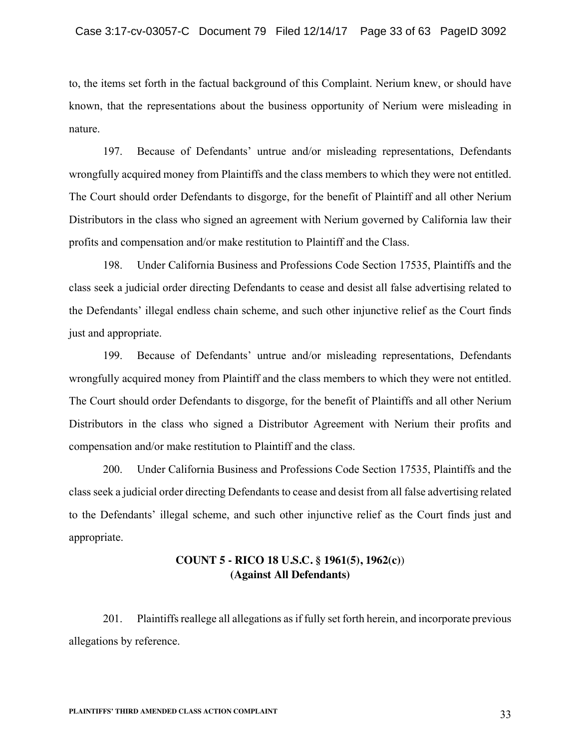to, the items set forth in the factual background of this Complaint. Nerium knew, or should have known, that the representations about the business opportunity of Nerium were misleading in nature.

197. Because of Defendants' untrue and/or misleading representations, Defendants wrongfully acquired money from Plaintiffs and the class members to which they were not entitled. The Court should order Defendants to disgorge, for the benefit of Plaintiff and all other Nerium Distributors in the class who signed an agreement with Nerium governed by California law their profits and compensation and/or make restitution to Plaintiff and the Class.

198. Under California Business and Professions Code Section 17535, Plaintiffs and the class seek a judicial order directing Defendants to cease and desist all false advertising related to the Defendants' illegal endless chain scheme, and such other injunctive relief as the Court finds just and appropriate.

199. Because of Defendants' untrue and/or misleading representations, Defendants wrongfully acquired money from Plaintiff and the class members to which they were not entitled. The Court should order Defendants to disgorge, for the benefit of Plaintiffs and all other Nerium Distributors in the class who signed a Distributor Agreement with Nerium their profits and compensation and/or make restitution to Plaintiff and the class.

200. Under California Business and Professions Code Section 17535, Plaintiffs and the class seek a judicial order directing Defendants to cease and desist from all false advertising related to the Defendants' illegal scheme, and such other injunctive relief as the Court finds just and appropriate.

# **COUNT 5 - RICO 18 U.S.C. § 1961(5), 1962(c)**) **(Against All Defendants)**

201. Plaintiffs reallege all allegations as if fully set forth herein, and incorporate previous allegations by reference.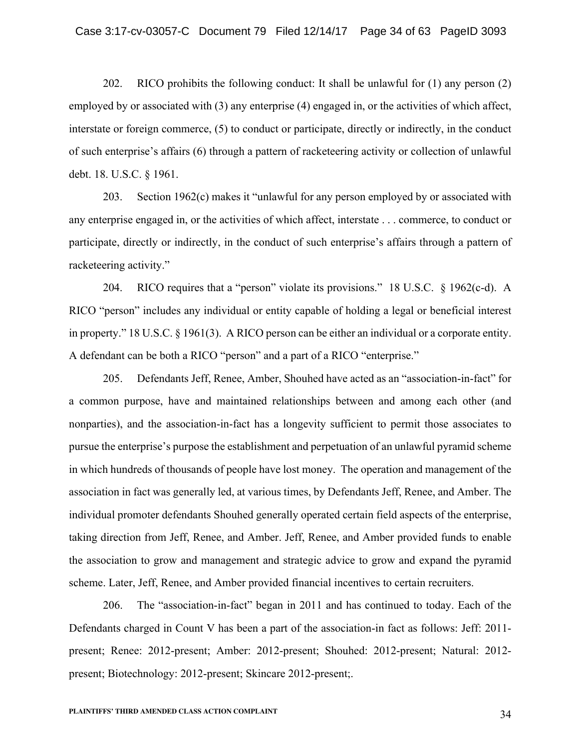202. RICO prohibits the following conduct: It shall be unlawful for (1) any person (2) employed by or associated with (3) any enterprise (4) engaged in, or the activities of which affect, interstate or foreign commerce, (5) to conduct or participate, directly or indirectly, in the conduct of such enterprise's affairs (6) through a pattern of racketeering activity or collection of unlawful debt. 18. U.S.C. § 1961.

203. Section 1962(c) makes it "unlawful for any person employed by or associated with any enterprise engaged in, or the activities of which affect, interstate . . . commerce, to conduct or participate, directly or indirectly, in the conduct of such enterprise's affairs through a pattern of racketeering activity."

204. RICO requires that a "person" violate its provisions." 18 U.S.C. § 1962(c-d). A RICO "person" includes any individual or entity capable of holding a legal or beneficial interest in property." 18 U.S.C. § 1961(3). A RICO person can be either an individual or a corporate entity. A defendant can be both a RICO "person" and a part of a RICO "enterprise."

205. Defendants Jeff, Renee, Amber, Shouhed have acted as an "association-in-fact" for a common purpose, have and maintained relationships between and among each other (and nonparties), and the association-in-fact has a longevity sufficient to permit those associates to pursue the enterprise's purpose the establishment and perpetuation of an unlawful pyramid scheme in which hundreds of thousands of people have lost money. The operation and management of the association in fact was generally led, at various times, by Defendants Jeff, Renee, and Amber. The individual promoter defendants Shouhed generally operated certain field aspects of the enterprise, taking direction from Jeff, Renee, and Amber. Jeff, Renee, and Amber provided funds to enable the association to grow and management and strategic advice to grow and expand the pyramid scheme. Later, Jeff, Renee, and Amber provided financial incentives to certain recruiters.

206. The "association-in-fact" began in 2011 and has continued to today. Each of the Defendants charged in Count V has been a part of the association-in fact as follows: Jeff: 2011 present; Renee: 2012-present; Amber: 2012-present; Shouhed: 2012-present; Natural: 2012 present; Biotechnology: 2012-present; Skincare 2012-present;.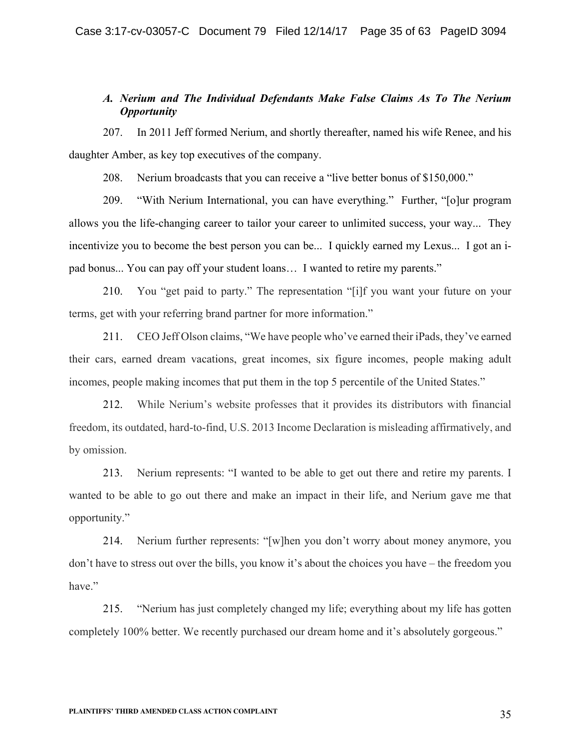## *A. Nerium and The Individual Defendants Make False Claims As To The Nerium Opportunity*

207. In 2011 Jeff formed Nerium, and shortly thereafter, named his wife Renee, and his daughter Amber, as key top executives of the company.

208. Nerium broadcasts that you can receive a "live better bonus of \$150,000."

209. "With Nerium International, you can have everything." Further, "[o]ur program allows you the life-changing career to tailor your career to unlimited success, your way... They incentivize you to become the best person you can be... I quickly earned my Lexus... I got an ipad bonus... You can pay off your student loans… I wanted to retire my parents."

210. You "get paid to party." The representation "[i]f you want your future on your terms, get with your referring brand partner for more information."

211. CEO Jeff Olson claims, "We have people who've earned their iPads, they've earned their cars, earned dream vacations, great incomes, six figure incomes, people making adult incomes, people making incomes that put them in the top 5 percentile of the United States."

212. While Nerium's website professes that it provides its distributors with financial freedom, its outdated, hard-to-find, U.S. 2013 Income Declaration is misleading affirmatively, and by omission.

213. Nerium represents: "I wanted to be able to get out there and retire my parents. I wanted to be able to go out there and make an impact in their life, and Nerium gave me that opportunity."

214. Nerium further represents: "[w]hen you don't worry about money anymore, you don't have to stress out over the bills, you know it's about the choices you have – the freedom you have."

215. "Nerium has just completely changed my life; everything about my life has gotten completely 100% better. We recently purchased our dream home and it's absolutely gorgeous."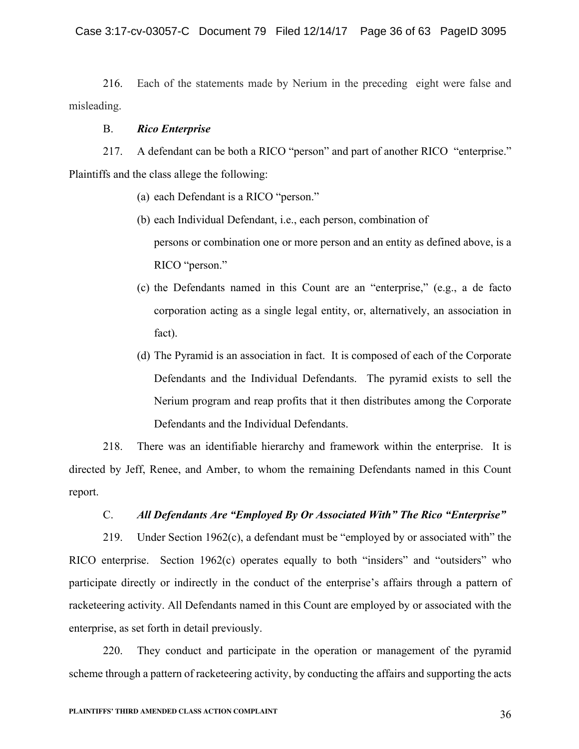216. Each of the statements made by Nerium in the preceding eight were false and misleading.

### B. *Rico Enterprise*

217. A defendant can be both a RICO "person" and part of another RICO "enterprise." Plaintiffs and the class allege the following:

- (a) each Defendant is a RICO "person."
- (b) each Individual Defendant, i.e., each person, combination of persons or combination one or more person and an entity as defined above, is a RICO "person."
- (c) the Defendants named in this Count are an "enterprise," (e.g., a de facto corporation acting as a single legal entity, or, alternatively, an association in fact).
- (d) The Pyramid is an association in fact. It is composed of each of the Corporate Defendants and the Individual Defendants. The pyramid exists to sell the Nerium program and reap profits that it then distributes among the Corporate Defendants and the Individual Defendants.

218. There was an identifiable hierarchy and framework within the enterprise. It is directed by Jeff, Renee, and Amber, to whom the remaining Defendants named in this Count report.

# C. *All Defendants Are "Employed By Or Associated With" The Rico "Enterprise"*

219. Under Section 1962(c), a defendant must be "employed by or associated with" the RICO enterprise. Section 1962(c) operates equally to both "insiders" and "outsiders" who participate directly or indirectly in the conduct of the enterprise's affairs through a pattern of racketeering activity. All Defendants named in this Count are employed by or associated with the enterprise, as set forth in detail previously.

220. They conduct and participate in the operation or management of the pyramid scheme through a pattern of racketeering activity, by conducting the affairs and supporting the acts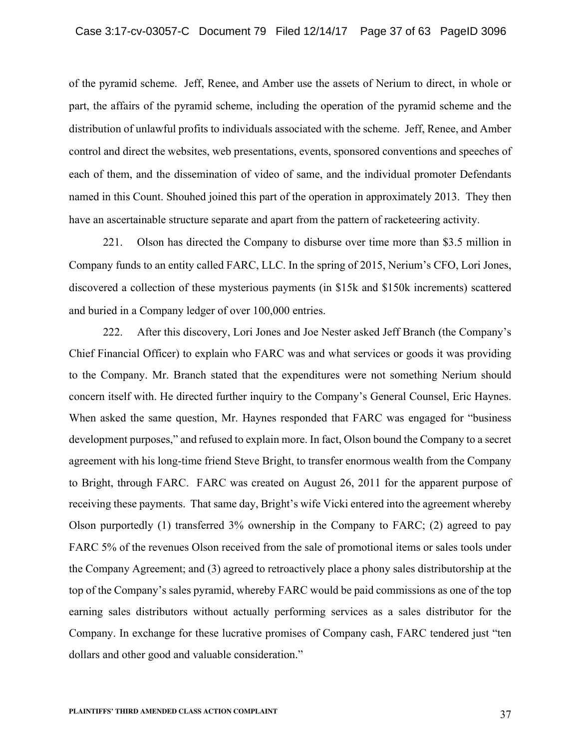of the pyramid scheme. Jeff, Renee, and Amber use the assets of Nerium to direct, in whole or part, the affairs of the pyramid scheme, including the operation of the pyramid scheme and the distribution of unlawful profits to individuals associated with the scheme. Jeff, Renee, and Amber control and direct the websites, web presentations, events, sponsored conventions and speeches of each of them, and the dissemination of video of same, and the individual promoter Defendants named in this Count. Shouhed joined this part of the operation in approximately 2013. They then have an ascertainable structure separate and apart from the pattern of racketeering activity.

221. Olson has directed the Company to disburse over time more than \$3.5 million in Company funds to an entity called FARC, LLC. In the spring of 2015, Nerium's CFO, Lori Jones, discovered a collection of these mysterious payments (in \$15k and \$150k increments) scattered and buried in a Company ledger of over 100,000 entries.

222. After this discovery, Lori Jones and Joe Nester asked Jeff Branch (the Company's Chief Financial Officer) to explain who FARC was and what services or goods it was providing to the Company. Mr. Branch stated that the expenditures were not something Nerium should concern itself with. He directed further inquiry to the Company's General Counsel, Eric Haynes. When asked the same question, Mr. Haynes responded that FARC was engaged for "business development purposes," and refused to explain more. In fact, Olson bound the Company to a secret agreement with his long-time friend Steve Bright, to transfer enormous wealth from the Company to Bright, through FARC. FARC was created on August 26, 2011 for the apparent purpose of receiving these payments. That same day, Bright's wife Vicki entered into the agreement whereby Olson purportedly (1) transferred 3% ownership in the Company to FARC; (2) agreed to pay FARC 5% of the revenues Olson received from the sale of promotional items or sales tools under the Company Agreement; and (3) agreed to retroactively place a phony sales distributorship at the top of the Company's sales pyramid, whereby FARC would be paid commissions as one of the top earning sales distributors without actually performing services as a sales distributor for the Company. In exchange for these lucrative promises of Company cash, FARC tendered just "ten dollars and other good and valuable consideration."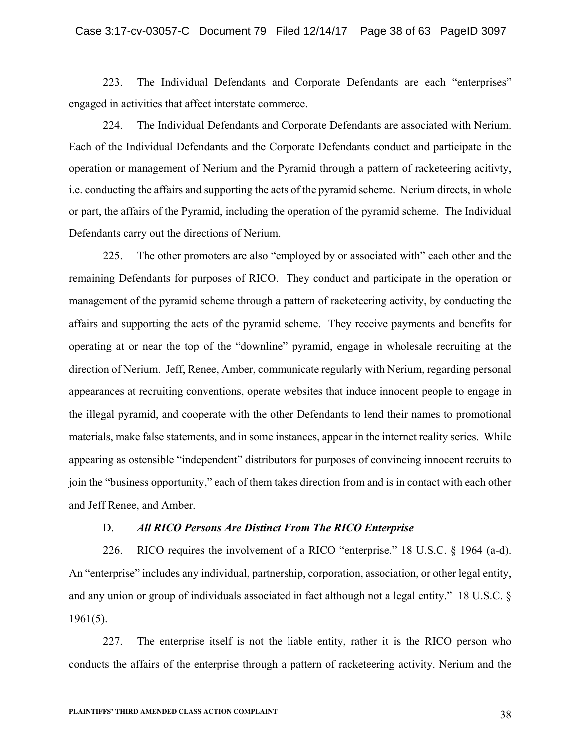223. The Individual Defendants and Corporate Defendants are each "enterprises" engaged in activities that affect interstate commerce.

224. The Individual Defendants and Corporate Defendants are associated with Nerium. Each of the Individual Defendants and the Corporate Defendants conduct and participate in the operation or management of Nerium and the Pyramid through a pattern of racketeering acitivty, i.e. conducting the affairs and supporting the acts of the pyramid scheme. Nerium directs, in whole or part, the affairs of the Pyramid, including the operation of the pyramid scheme. The Individual Defendants carry out the directions of Nerium.

225. The other promoters are also "employed by or associated with" each other and the remaining Defendants for purposes of RICO. They conduct and participate in the operation or management of the pyramid scheme through a pattern of racketeering activity, by conducting the affairs and supporting the acts of the pyramid scheme. They receive payments and benefits for operating at or near the top of the "downline" pyramid, engage in wholesale recruiting at the direction of Nerium. Jeff, Renee, Amber, communicate regularly with Nerium, regarding personal appearances at recruiting conventions, operate websites that induce innocent people to engage in the illegal pyramid, and cooperate with the other Defendants to lend their names to promotional materials, make false statements, and in some instances, appear in the internet reality series. While appearing as ostensible "independent" distributors for purposes of convincing innocent recruits to join the "business opportunity," each of them takes direction from and is in contact with each other and Jeff Renee, and Amber.

### D. *All RICO Persons Are Distinct From The RICO Enterprise*

226. RICO requires the involvement of a RICO "enterprise." 18 U.S.C. § 1964 (a-d). An "enterprise" includes any individual, partnership, corporation, association, or other legal entity, and any union or group of individuals associated in fact although not a legal entity." 18 U.S.C. § 1961(5).

227. The enterprise itself is not the liable entity, rather it is the RICO person who conducts the affairs of the enterprise through a pattern of racketeering activity. Nerium and the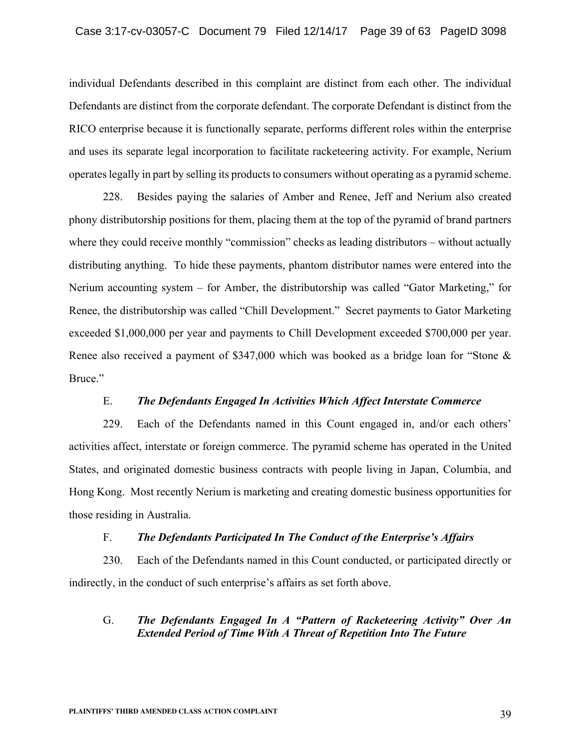individual Defendants described in this complaint are distinct from each other. The individual Defendants are distinct from the corporate defendant. The corporate Defendant is distinct from the RICO enterprise because it is functionally separate, performs different roles within the enterprise and uses its separate legal incorporation to facilitate racketeering activity. For example, Nerium operates legally in part by selling its products to consumers without operating as a pyramid scheme.

228. Besides paying the salaries of Amber and Renee, Jeff and Nerium also created phony distributorship positions for them, placing them at the top of the pyramid of brand partners where they could receive monthly "commission" checks as leading distributors – without actually distributing anything. To hide these payments, phantom distributor names were entered into the Nerium accounting system – for Amber, the distributorship was called "Gator Marketing," for Renee, the distributorship was called "Chill Development." Secret payments to Gator Marketing exceeded \$1,000,000 per year and payments to Chill Development exceeded \$700,000 per year. Renee also received a payment of \$347,000 which was booked as a bridge loan for "Stone & Bruce."

## E. *The Defendants Engaged In Activities Which Affect Interstate Commerce*

229. Each of the Defendants named in this Count engaged in, and/or each others' activities affect, interstate or foreign commerce. The pyramid scheme has operated in the United States, and originated domestic business contracts with people living in Japan, Columbia, and Hong Kong. Most recently Nerium is marketing and creating domestic business opportunities for those residing in Australia.

## F. *The Defendants Participated In The Conduct of the Enterprise's Affairs*

230. Each of the Defendants named in this Count conducted, or participated directly or indirectly, in the conduct of such enterprise's affairs as set forth above.

# G. *The Defendants Engaged In A "Pattern of Racketeering Activity" Over An Extended Period of Time With A Threat of Repetition Into The Future*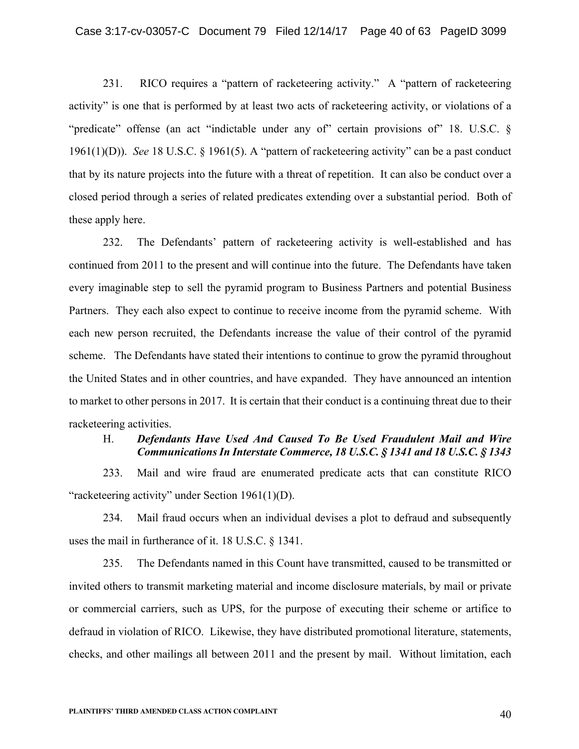231. RICO requires a "pattern of racketeering activity." A "pattern of racketeering activity" is one that is performed by at least two acts of racketeering activity, or violations of a "predicate" offense (an act "indictable under any of" certain provisions of" 18. U.S.C. § 1961(1)(D)). *See* 18 U.S.C. § 1961(5). A "pattern of racketeering activity" can be a past conduct that by its nature projects into the future with a threat of repetition. It can also be conduct over a closed period through a series of related predicates extending over a substantial period. Both of these apply here.

232. The Defendants' pattern of racketeering activity is well-established and has continued from 2011 to the present and will continue into the future. The Defendants have taken every imaginable step to sell the pyramid program to Business Partners and potential Business Partners. They each also expect to continue to receive income from the pyramid scheme. With each new person recruited, the Defendants increase the value of their control of the pyramid scheme. The Defendants have stated their intentions to continue to grow the pyramid throughout the United States and in other countries, and have expanded. They have announced an intention to market to other persons in 2017. It is certain that their conduct is a continuing threat due to their racketeering activities.

# H. *Defendants Have Used And Caused To Be Used Fraudulent Mail and Wire Communications In Interstate Commerce, 18 U.S.C. § 1341 and 18 U.S.C. § 1343*

233. Mail and wire fraud are enumerated predicate acts that can constitute RICO "racketeering activity" under Section 1961(1)(D).

234. Mail fraud occurs when an individual devises a plot to defraud and subsequently uses the mail in furtherance of it. 18 U.S.C. § 1341.

235. The Defendants named in this Count have transmitted, caused to be transmitted or invited others to transmit marketing material and income disclosure materials, by mail or private or commercial carriers, such as UPS, for the purpose of executing their scheme or artifice to defraud in violation of RICO. Likewise, they have distributed promotional literature, statements, checks, and other mailings all between 2011 and the present by mail. Without limitation, each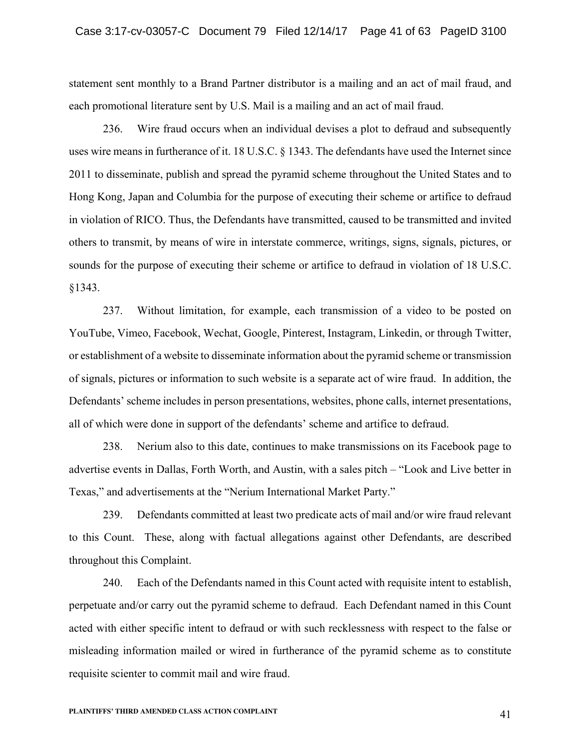statement sent monthly to a Brand Partner distributor is a mailing and an act of mail fraud, and each promotional literature sent by U.S. Mail is a mailing and an act of mail fraud.

236. Wire fraud occurs when an individual devises a plot to defraud and subsequently uses wire means in furtherance of it. 18 U.S.C. § 1343. The defendants have used the Internet since 2011 to disseminate, publish and spread the pyramid scheme throughout the United States and to Hong Kong, Japan and Columbia for the purpose of executing their scheme or artifice to defraud in violation of RICO. Thus, the Defendants have transmitted, caused to be transmitted and invited others to transmit, by means of wire in interstate commerce, writings, signs, signals, pictures, or sounds for the purpose of executing their scheme or artifice to defraud in violation of 18 U.S.C. §1343.

237. Without limitation, for example, each transmission of a video to be posted on YouTube, Vimeo, Facebook, Wechat, Google, Pinterest, Instagram, Linkedin, or through Twitter, or establishment of a website to disseminate information about the pyramid scheme or transmission of signals, pictures or information to such website is a separate act of wire fraud. In addition, the Defendants' scheme includes in person presentations, websites, phone calls, internet presentations, all of which were done in support of the defendants' scheme and artifice to defraud.

238. Nerium also to this date, continues to make transmissions on its Facebook page to advertise events in Dallas, Forth Worth, and Austin, with a sales pitch – "Look and Live better in Texas," and advertisements at the "Nerium International Market Party."

239. Defendants committed at least two predicate acts of mail and/or wire fraud relevant to this Count. These, along with factual allegations against other Defendants, are described throughout this Complaint.

240. Each of the Defendants named in this Count acted with requisite intent to establish, perpetuate and/or carry out the pyramid scheme to defraud. Each Defendant named in this Count acted with either specific intent to defraud or with such recklessness with respect to the false or misleading information mailed or wired in furtherance of the pyramid scheme as to constitute requisite scienter to commit mail and wire fraud.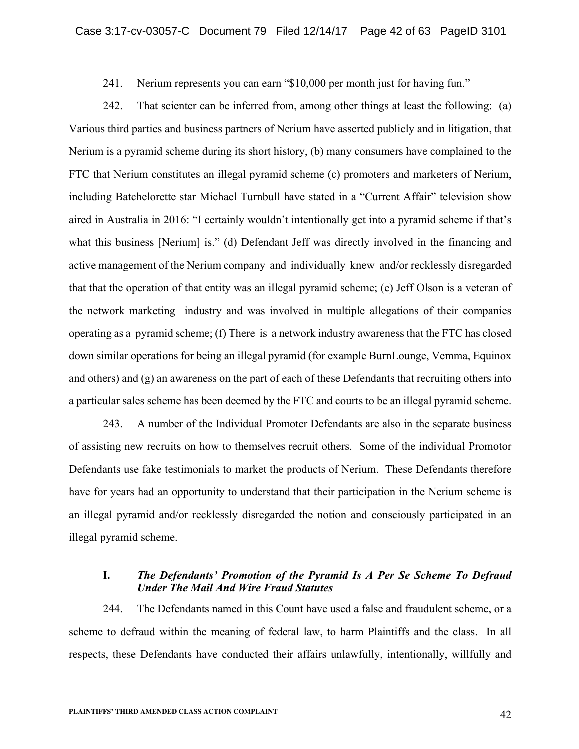241. Nerium represents you can earn "\$10,000 per month just for having fun."

242. That scienter can be inferred from, among other things at least the following: (a) Various third parties and business partners of Nerium have asserted publicly and in litigation, that Nerium is a pyramid scheme during its short history, (b) many consumers have complained to the FTC that Nerium constitutes an illegal pyramid scheme (c) promoters and marketers of Nerium, including Batchelorette star Michael Turnbull have stated in a "Current Affair" television show aired in Australia in 2016: "I certainly wouldn't intentionally get into a pyramid scheme if that's what this business [Nerium] is." (d) Defendant Jeff was directly involved in the financing and active management of the Nerium company and individually knew and/or recklessly disregarded that that the operation of that entity was an illegal pyramid scheme; (e) Jeff Olson is a veteran of the network marketing industry and was involved in multiple allegations of their companies operating as a pyramid scheme; (f) There is a network industry awareness that the FTC has closed down similar operations for being an illegal pyramid (for example BurnLounge, Vemma, Equinox and others) and (g) an awareness on the part of each of these Defendants that recruiting others into a particular sales scheme has been deemed by the FTC and courts to be an illegal pyramid scheme.

243. A number of the Individual Promoter Defendants are also in the separate business of assisting new recruits on how to themselves recruit others. Some of the individual Promotor Defendants use fake testimonials to market the products of Nerium. These Defendants therefore have for years had an opportunity to understand that their participation in the Nerium scheme is an illegal pyramid and/or recklessly disregarded the notion and consciously participated in an illegal pyramid scheme.

## **I.** *The Defendants' Promotion of the Pyramid Is A Per Se Scheme To Defraud Under The Mail And Wire Fraud Statutes*

244. The Defendants named in this Count have used a false and fraudulent scheme, or a scheme to defraud within the meaning of federal law, to harm Plaintiffs and the class. In all respects, these Defendants have conducted their affairs unlawfully, intentionally, willfully and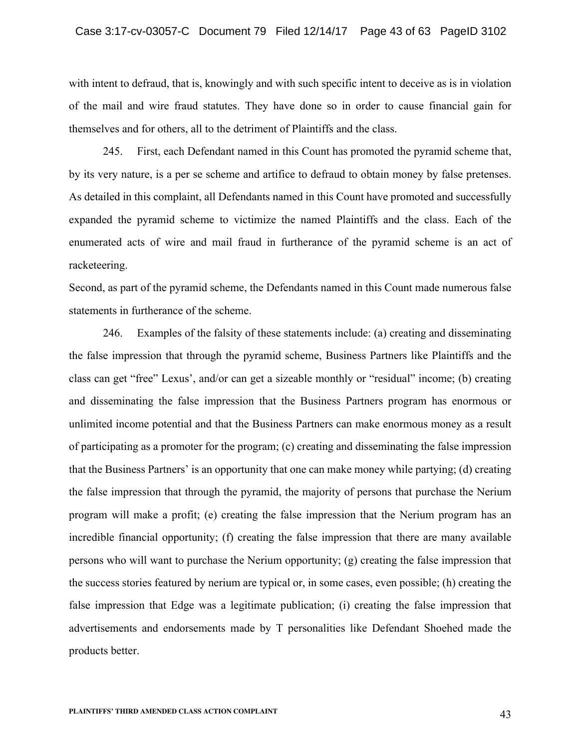with intent to defraud, that is, knowingly and with such specific intent to deceive as is in violation of the mail and wire fraud statutes. They have done so in order to cause financial gain for themselves and for others, all to the detriment of Plaintiffs and the class.

245. First, each Defendant named in this Count has promoted the pyramid scheme that, by its very nature, is a per se scheme and artifice to defraud to obtain money by false pretenses. As detailed in this complaint, all Defendants named in this Count have promoted and successfully expanded the pyramid scheme to victimize the named Plaintiffs and the class. Each of the enumerated acts of wire and mail fraud in furtherance of the pyramid scheme is an act of racketeering.

Second, as part of the pyramid scheme, the Defendants named in this Count made numerous false statements in furtherance of the scheme.

246. Examples of the falsity of these statements include: (a) creating and disseminating the false impression that through the pyramid scheme, Business Partners like Plaintiffs and the class can get "free" Lexus', and/or can get a sizeable monthly or "residual" income; (b) creating and disseminating the false impression that the Business Partners program has enormous or unlimited income potential and that the Business Partners can make enormous money as a result of participating as a promoter for the program; (c) creating and disseminating the false impression that the Business Partners' is an opportunity that one can make money while partying; (d) creating the false impression that through the pyramid, the majority of persons that purchase the Nerium program will make a profit; (e) creating the false impression that the Nerium program has an incredible financial opportunity; (f) creating the false impression that there are many available persons who will want to purchase the Nerium opportunity; (g) creating the false impression that the success stories featured by nerium are typical or, in some cases, even possible; (h) creating the false impression that Edge was a legitimate publication; (i) creating the false impression that advertisements and endorsements made by T personalities like Defendant Shoehed made the products better.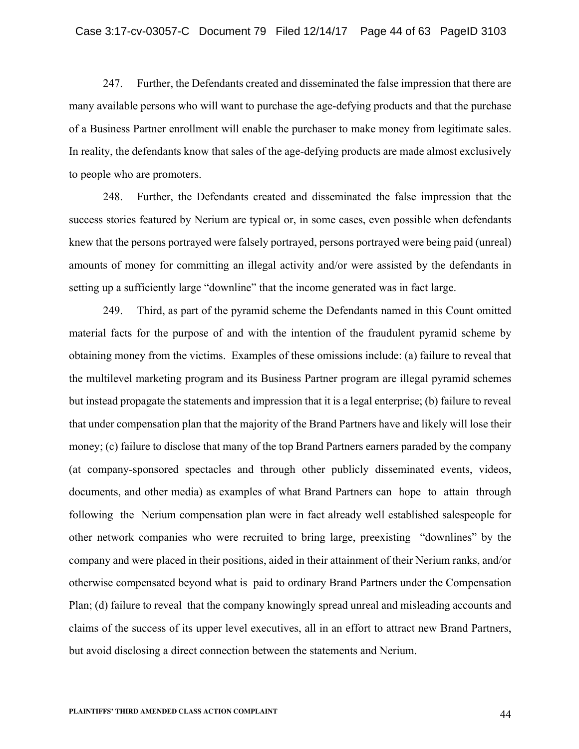247. Further, the Defendants created and disseminated the false impression that there are many available persons who will want to purchase the age-defying products and that the purchase of a Business Partner enrollment will enable the purchaser to make money from legitimate sales. In reality, the defendants know that sales of the age-defying products are made almost exclusively to people who are promoters.

248. Further, the Defendants created and disseminated the false impression that the success stories featured by Nerium are typical or, in some cases, even possible when defendants knew that the persons portrayed were falsely portrayed, persons portrayed were being paid (unreal) amounts of money for committing an illegal activity and/or were assisted by the defendants in setting up a sufficiently large "downline" that the income generated was in fact large.

249. Third, as part of the pyramid scheme the Defendants named in this Count omitted material facts for the purpose of and with the intention of the fraudulent pyramid scheme by obtaining money from the victims. Examples of these omissions include: (a) failure to reveal that the multilevel marketing program and its Business Partner program are illegal pyramid schemes but instead propagate the statements and impression that it is a legal enterprise; (b) failure to reveal that under compensation plan that the majority of the Brand Partners have and likely will lose their money; (c) failure to disclose that many of the top Brand Partners earners paraded by the company (at company-sponsored spectacles and through other publicly disseminated events, videos, documents, and other media) as examples of what Brand Partners can hope to attain through following the Nerium compensation plan were in fact already well established salespeople for other network companies who were recruited to bring large, preexisting "downlines" by the company and were placed in their positions, aided in their attainment of their Nerium ranks, and/or otherwise compensated beyond what is paid to ordinary Brand Partners under the Compensation Plan; (d) failure to reveal that the company knowingly spread unreal and misleading accounts and claims of the success of its upper level executives, all in an effort to attract new Brand Partners, but avoid disclosing a direct connection between the statements and Nerium.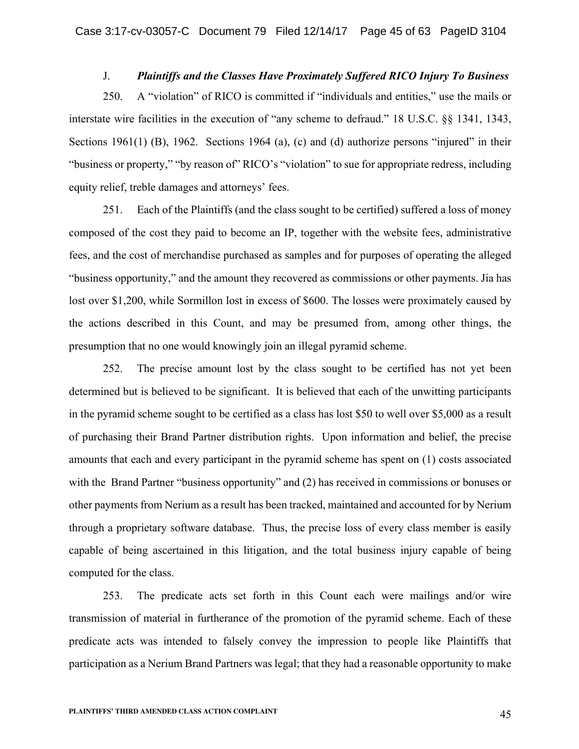# J. *Plaintiffs and the Classes Have Proximately Suffered RICO Injury To Business*

250. A "violation" of RICO is committed if "individuals and entities," use the mails or interstate wire facilities in the execution of "any scheme to defraud." 18 U.S.C. §§ 1341, 1343, Sections 1961(1) (B), 1962. Sections 1964 (a), (c) and (d) authorize persons "injured" in their "business or property," "by reason of" RICO's "violation" to sue for appropriate redress, including equity relief, treble damages and attorneys' fees.

251. Each of the Plaintiffs (and the class sought to be certified) suffered a loss of money composed of the cost they paid to become an IP, together with the website fees, administrative fees, and the cost of merchandise purchased as samples and for purposes of operating the alleged "business opportunity," and the amount they recovered as commissions or other payments. Jia has lost over \$1,200, while Sormillon lost in excess of \$600. The losses were proximately caused by the actions described in this Count, and may be presumed from, among other things, the presumption that no one would knowingly join an illegal pyramid scheme.

252. The precise amount lost by the class sought to be certified has not yet been determined but is believed to be significant. It is believed that each of the unwitting participants in the pyramid scheme sought to be certified as a class has lost \$50 to well over \$5,000 as a result of purchasing their Brand Partner distribution rights. Upon information and belief, the precise amounts that each and every participant in the pyramid scheme has spent on (1) costs associated with the Brand Partner "business opportunity" and (2) has received in commissions or bonuses or other payments from Nerium as a result has been tracked, maintained and accounted for by Nerium through a proprietary software database. Thus, the precise loss of every class member is easily capable of being ascertained in this litigation, and the total business injury capable of being computed for the class.

253. The predicate acts set forth in this Count each were mailings and/or wire transmission of material in furtherance of the promotion of the pyramid scheme. Each of these predicate acts was intended to falsely convey the impression to people like Plaintiffs that participation as a Nerium Brand Partners was legal; that they had a reasonable opportunity to make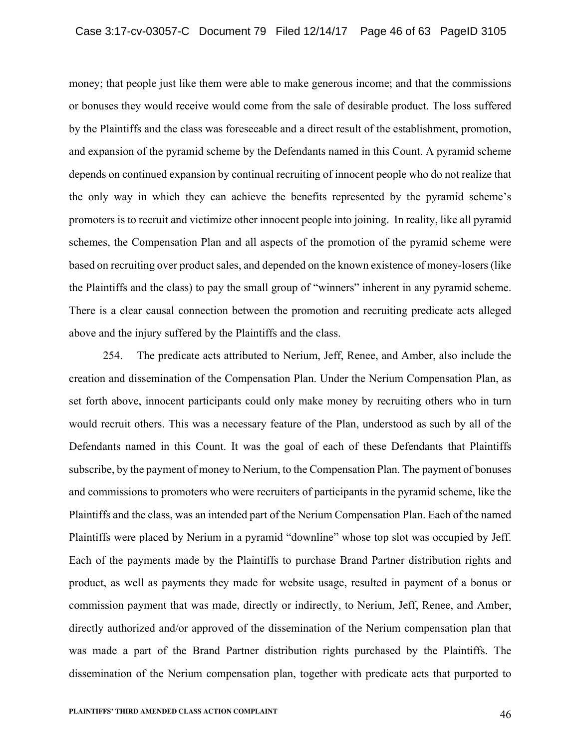money; that people just like them were able to make generous income; and that the commissions or bonuses they would receive would come from the sale of desirable product. The loss suffered by the Plaintiffs and the class was foreseeable and a direct result of the establishment, promotion, and expansion of the pyramid scheme by the Defendants named in this Count. A pyramid scheme depends on continued expansion by continual recruiting of innocent people who do not realize that the only way in which they can achieve the benefits represented by the pyramid scheme's promoters is to recruit and victimize other innocent people into joining. In reality, like all pyramid schemes, the Compensation Plan and all aspects of the promotion of the pyramid scheme were based on recruiting over product sales, and depended on the known existence of money-losers (like the Plaintiffs and the class) to pay the small group of "winners" inherent in any pyramid scheme. There is a clear causal connection between the promotion and recruiting predicate acts alleged above and the injury suffered by the Plaintiffs and the class.

254. The predicate acts attributed to Nerium, Jeff, Renee, and Amber, also include the creation and dissemination of the Compensation Plan. Under the Nerium Compensation Plan, as set forth above, innocent participants could only make money by recruiting others who in turn would recruit others. This was a necessary feature of the Plan, understood as such by all of the Defendants named in this Count. It was the goal of each of these Defendants that Plaintiffs subscribe, by the payment of money to Nerium, to the Compensation Plan. The payment of bonuses and commissions to promoters who were recruiters of participants in the pyramid scheme, like the Plaintiffs and the class, was an intended part of the Nerium Compensation Plan. Each of the named Plaintiffs were placed by Nerium in a pyramid "downline" whose top slot was occupied by Jeff. Each of the payments made by the Plaintiffs to purchase Brand Partner distribution rights and product, as well as payments they made for website usage, resulted in payment of a bonus or commission payment that was made, directly or indirectly, to Nerium, Jeff, Renee, and Amber, directly authorized and/or approved of the dissemination of the Nerium compensation plan that was made a part of the Brand Partner distribution rights purchased by the Plaintiffs. The dissemination of the Nerium compensation plan, together with predicate acts that purported to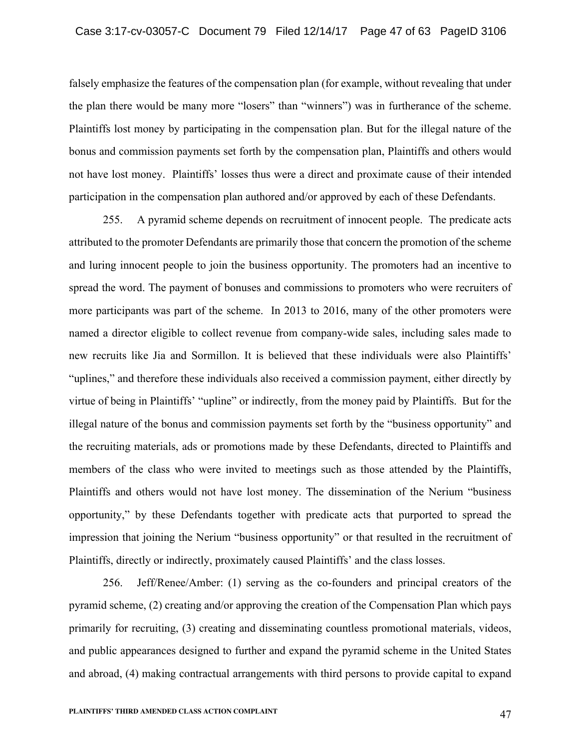falsely emphasize the features of the compensation plan (for example, without revealing that under the plan there would be many more "losers" than "winners") was in furtherance of the scheme. Plaintiffs lost money by participating in the compensation plan. But for the illegal nature of the bonus and commission payments set forth by the compensation plan, Plaintiffs and others would not have lost money. Plaintiffs' losses thus were a direct and proximate cause of their intended participation in the compensation plan authored and/or approved by each of these Defendants.

255. A pyramid scheme depends on recruitment of innocent people. The predicate acts attributed to the promoter Defendants are primarily those that concern the promotion of the scheme and luring innocent people to join the business opportunity. The promoters had an incentive to spread the word. The payment of bonuses and commissions to promoters who were recruiters of more participants was part of the scheme. In 2013 to 2016, many of the other promoters were named a director eligible to collect revenue from company-wide sales, including sales made to new recruits like Jia and Sormillon. It is believed that these individuals were also Plaintiffs' "uplines," and therefore these individuals also received a commission payment, either directly by virtue of being in Plaintiffs' "upline" or indirectly, from the money paid by Plaintiffs. But for the illegal nature of the bonus and commission payments set forth by the "business opportunity" and the recruiting materials, ads or promotions made by these Defendants, directed to Plaintiffs and members of the class who were invited to meetings such as those attended by the Plaintiffs, Plaintiffs and others would not have lost money. The dissemination of the Nerium "business opportunity," by these Defendants together with predicate acts that purported to spread the impression that joining the Nerium "business opportunity" or that resulted in the recruitment of Plaintiffs, directly or indirectly, proximately caused Plaintiffs' and the class losses.

256. Jeff/Renee/Amber: (1) serving as the co-founders and principal creators of the pyramid scheme, (2) creating and/or approving the creation of the Compensation Plan which pays primarily for recruiting, (3) creating and disseminating countless promotional materials, videos, and public appearances designed to further and expand the pyramid scheme in the United States and abroad, (4) making contractual arrangements with third persons to provide capital to expand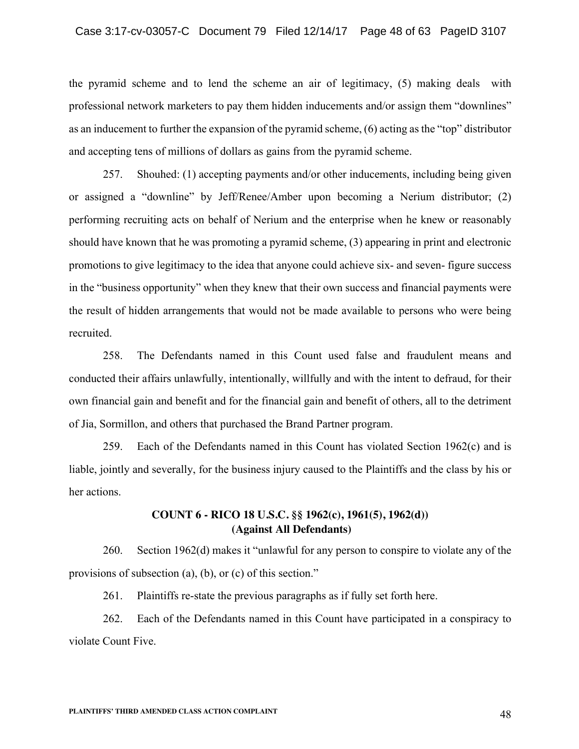#### Case 3:17-cv-03057-C Document 79 Filed 12/14/17 Page 48 of 63 PageID 3107

the pyramid scheme and to lend the scheme an air of legitimacy, (5) making deals with professional network marketers to pay them hidden inducements and/or assign them "downlines" as an inducement to further the expansion of the pyramid scheme, (6) acting as the "top" distributor and accepting tens of millions of dollars as gains from the pyramid scheme.

257. Shouhed: (1) accepting payments and/or other inducements, including being given or assigned a "downline" by Jeff/Renee/Amber upon becoming a Nerium distributor; (2) performing recruiting acts on behalf of Nerium and the enterprise when he knew or reasonably should have known that he was promoting a pyramid scheme, (3) appearing in print and electronic promotions to give legitimacy to the idea that anyone could achieve six- and seven- figure success in the "business opportunity" when they knew that their own success and financial payments were the result of hidden arrangements that would not be made available to persons who were being recruited.

258. The Defendants named in this Count used false and fraudulent means and conducted their affairs unlawfully, intentionally, willfully and with the intent to defraud, for their own financial gain and benefit and for the financial gain and benefit of others, all to the detriment of Jia, Sormillon, and others that purchased the Brand Partner program.

259. Each of the Defendants named in this Count has violated Section 1962(c) and is liable, jointly and severally, for the business injury caused to the Plaintiffs and the class by his or her actions.

# **COUNT 6 - RICO 18 U.S.C. §§ 1962(c), 1961(5), 1962(d)) (Against All Defendants)**

260. Section 1962(d) makes it "unlawful for any person to conspire to violate any of the provisions of subsection (a), (b), or (c) of this section."

261. Plaintiffs re-state the previous paragraphs as if fully set forth here.

262. Each of the Defendants named in this Count have participated in a conspiracy to violate Count Five.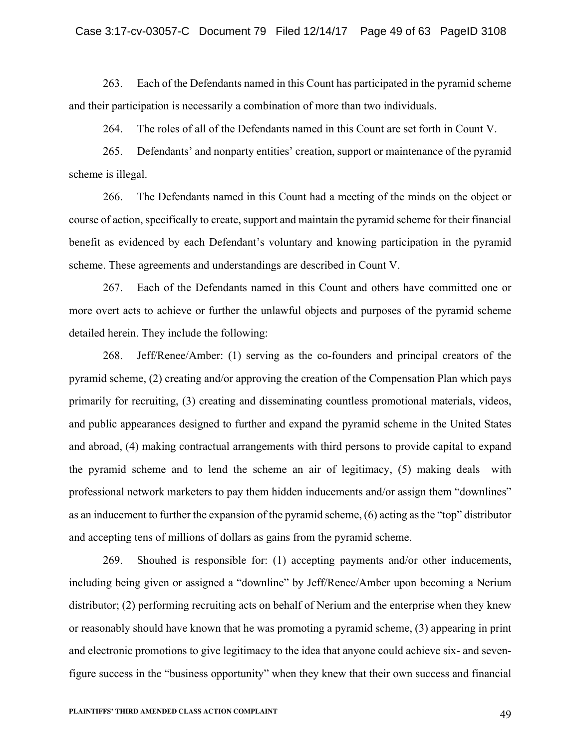263. Each of the Defendants named in this Count has participated in the pyramid scheme and their participation is necessarily a combination of more than two individuals.

264. The roles of all of the Defendants named in this Count are set forth in Count V.

265. Defendants' and nonparty entities' creation, support or maintenance of the pyramid scheme is illegal.

266. The Defendants named in this Count had a meeting of the minds on the object or course of action, specifically to create, support and maintain the pyramid scheme for their financial benefit as evidenced by each Defendant's voluntary and knowing participation in the pyramid scheme. These agreements and understandings are described in Count V.

267. Each of the Defendants named in this Count and others have committed one or more overt acts to achieve or further the unlawful objects and purposes of the pyramid scheme detailed herein. They include the following:

268. Jeff/Renee/Amber: (1) serving as the co-founders and principal creators of the pyramid scheme, (2) creating and/or approving the creation of the Compensation Plan which pays primarily for recruiting, (3) creating and disseminating countless promotional materials, videos, and public appearances designed to further and expand the pyramid scheme in the United States and abroad, (4) making contractual arrangements with third persons to provide capital to expand the pyramid scheme and to lend the scheme an air of legitimacy, (5) making deals with professional network marketers to pay them hidden inducements and/or assign them "downlines" as an inducement to further the expansion of the pyramid scheme, (6) acting as the "top" distributor and accepting tens of millions of dollars as gains from the pyramid scheme.

269. Shouhed is responsible for: (1) accepting payments and/or other inducements, including being given or assigned a "downline" by Jeff/Renee/Amber upon becoming a Nerium distributor; (2) performing recruiting acts on behalf of Nerium and the enterprise when they knew or reasonably should have known that he was promoting a pyramid scheme, (3) appearing in print and electronic promotions to give legitimacy to the idea that anyone could achieve six- and sevenfigure success in the "business opportunity" when they knew that their own success and financial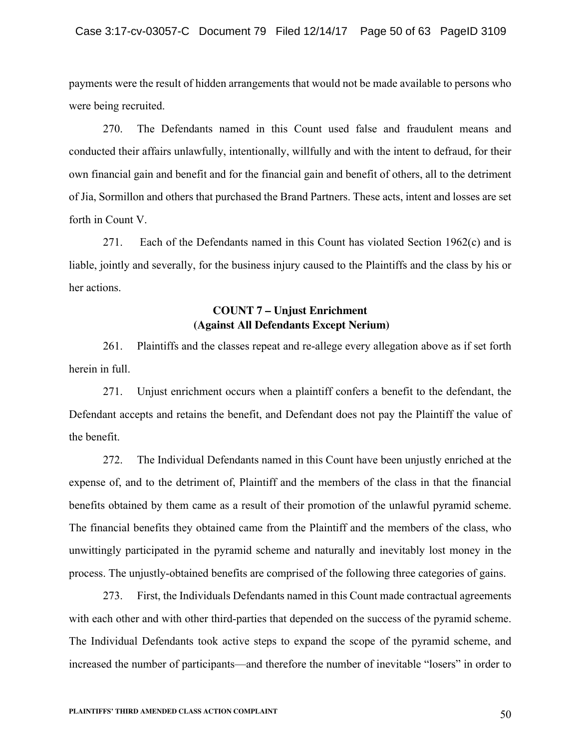payments were the result of hidden arrangements that would not be made available to persons who were being recruited.

270. The Defendants named in this Count used false and fraudulent means and conducted their affairs unlawfully, intentionally, willfully and with the intent to defraud, for their own financial gain and benefit and for the financial gain and benefit of others, all to the detriment of Jia, Sormillon and others that purchased the Brand Partners. These acts, intent and losses are set forth in Count V.

271. Each of the Defendants named in this Count has violated Section 1962(c) and is liable, jointly and severally, for the business injury caused to the Plaintiffs and the class by his or her actions.

# **COUNT 7 – Unjust Enrichment (Against All Defendants Except Nerium)**

261. Plaintiffs and the classes repeat and re-allege every allegation above as if set forth herein in full.

271. Unjust enrichment occurs when a plaintiff confers a benefit to the defendant, the Defendant accepts and retains the benefit, and Defendant does not pay the Plaintiff the value of the benefit.

272. The Individual Defendants named in this Count have been unjustly enriched at the expense of, and to the detriment of, Plaintiff and the members of the class in that the financial benefits obtained by them came as a result of their promotion of the unlawful pyramid scheme. The financial benefits they obtained came from the Plaintiff and the members of the class, who unwittingly participated in the pyramid scheme and naturally and inevitably lost money in the process. The unjustly-obtained benefits are comprised of the following three categories of gains.

273. First, the Individuals Defendants named in this Count made contractual agreements with each other and with other third-parties that depended on the success of the pyramid scheme. The Individual Defendants took active steps to expand the scope of the pyramid scheme, and increased the number of participants—and therefore the number of inevitable "losers" in order to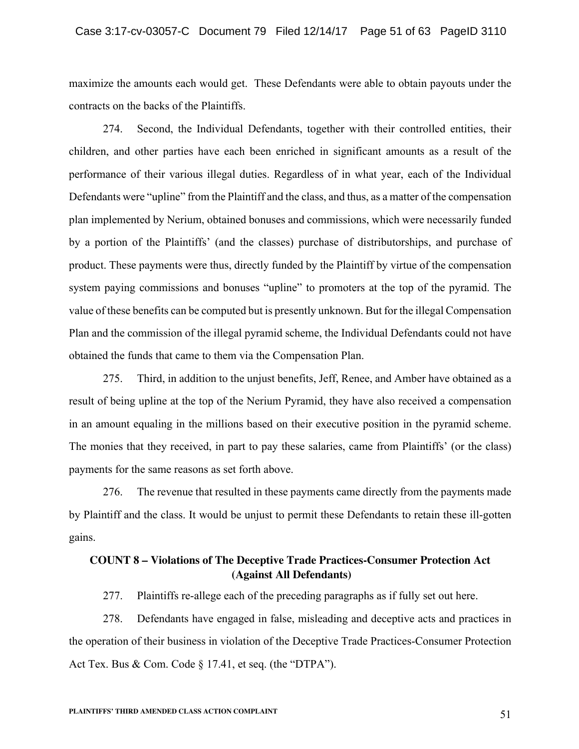maximize the amounts each would get. These Defendants were able to obtain payouts under the contracts on the backs of the Plaintiffs.

274. Second, the Individual Defendants, together with their controlled entities, their children, and other parties have each been enriched in significant amounts as a result of the performance of their various illegal duties. Regardless of in what year, each of the Individual Defendants were "upline" from the Plaintiff and the class, and thus, as a matter of the compensation plan implemented by Nerium, obtained bonuses and commissions, which were necessarily funded by a portion of the Plaintiffs' (and the classes) purchase of distributorships, and purchase of product. These payments were thus, directly funded by the Plaintiff by virtue of the compensation system paying commissions and bonuses "upline" to promoters at the top of the pyramid. The value of these benefits can be computed but is presently unknown. But for the illegal Compensation Plan and the commission of the illegal pyramid scheme, the Individual Defendants could not have obtained the funds that came to them via the Compensation Plan.

275. Third, in addition to the unjust benefits, Jeff, Renee, and Amber have obtained as a result of being upline at the top of the Nerium Pyramid, they have also received a compensation in an amount equaling in the millions based on their executive position in the pyramid scheme. The monies that they received, in part to pay these salaries, came from Plaintiffs' (or the class) payments for the same reasons as set forth above.

276. The revenue that resulted in these payments came directly from the payments made by Plaintiff and the class. It would be unjust to permit these Defendants to retain these ill-gotten gains.

# **COUNT 8 – Violations of The Deceptive Trade Practices-Consumer Protection Act (Against All Defendants)**

277. Plaintiffs re-allege each of the preceding paragraphs as if fully set out here.

278. Defendants have engaged in false, misleading and deceptive acts and practices in the operation of their business in violation of the Deceptive Trade Practices-Consumer Protection Act Tex. Bus  $& Com. Code \S 17.41$ , et seq. (the "DTPA").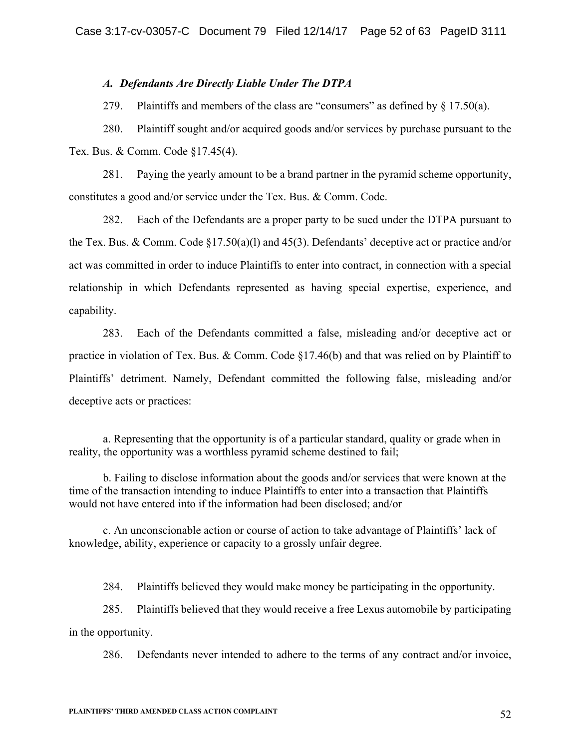### *A. Defendants Are Directly Liable Under The DTPA*

279. Plaintiffs and members of the class are "consumers" as defined by  $\S$  17.50(a).

280. Plaintiff sought and/or acquired goods and/or services by purchase pursuant to the Tex. Bus. & Comm. Code §17.45(4).

281. Paying the yearly amount to be a brand partner in the pyramid scheme opportunity, constitutes a good and/or service under the Tex. Bus. & Comm. Code.

282. Each of the Defendants are a proper party to be sued under the DTPA pursuant to the Tex. Bus. & Comm. Code §17.50(a)(l) and 45(3). Defendants' deceptive act or practice and/or act was committed in order to induce Plaintiffs to enter into contract, in connection with a special relationship in which Defendants represented as having special expertise, experience, and capability.

283. Each of the Defendants committed a false, misleading and/or deceptive act or practice in violation of Tex. Bus. & Comm. Code §17.46(b) and that was relied on by Plaintiff to Plaintiffs' detriment. Namely, Defendant committed the following false, misleading and/or deceptive acts or practices:

a. Representing that the opportunity is of a particular standard, quality or grade when in reality, the opportunity was a worthless pyramid scheme destined to fail;

b. Failing to disclose information about the goods and/or services that were known at the time of the transaction intending to induce Plaintiffs to enter into a transaction that Plaintiffs would not have entered into if the information had been disclosed; and/or

c. An unconscionable action or course of action to take advantage of Plaintiffs' lack of knowledge, ability, experience or capacity to a grossly unfair degree.

284. Plaintiffs believed they would make money be participating in the opportunity.

285. Plaintiffs believed that they would receive a free Lexus automobile by participating in the opportunity.

286. Defendants never intended to adhere to the terms of any contract and/or invoice,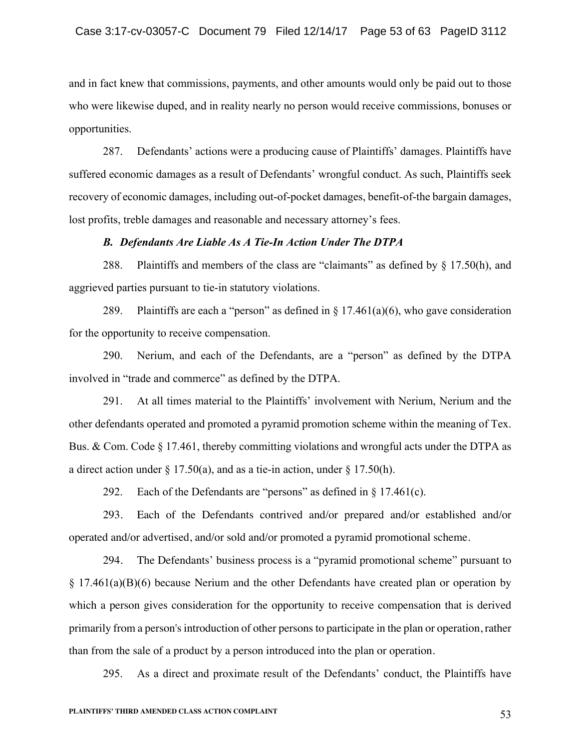and in fact knew that commissions, payments, and other amounts would only be paid out to those who were likewise duped, and in reality nearly no person would receive commissions, bonuses or opportunities.

287. Defendants' actions were a producing cause of Plaintiffs' damages. Plaintiffs have suffered economic damages as a result of Defendants' wrongful conduct. As such, Plaintiffs seek recovery of economic damages, including out-of-pocket damages, benefit-of-the bargain damages, lost profits, treble damages and reasonable and necessary attorney's fees.

#### *B. Defendants Are Liable As A Tie-In Action Under The DTPA*

288. Plaintiffs and members of the class are "claimants" as defined by § 17.50(h), and aggrieved parties pursuant to tie-in statutory violations.

289. Plaintiffs are each a "person" as defined in  $\S 17.461(a)(6)$ , who gave consideration for the opportunity to receive compensation.

290. Nerium, and each of the Defendants, are a "person" as defined by the DTPA involved in "trade and commerce" as defined by the DTPA.

291. At all times material to the Plaintiffs' involvement with Nerium, Nerium and the other defendants operated and promoted a pyramid promotion scheme within the meaning of Tex. Bus. & Com. Code § 17.461, thereby committing violations and wrongful acts under the DTPA as a direct action under  $\S 17.50(a)$ , and as a tie-in action, under  $\S 17.50(h)$ .

292. Each of the Defendants are "persons" as defined in  $\S$  17.461(c).

293. Each of the Defendants contrived and/or prepared and/or established and/or operated and/or advertised, and/or sold and/or promoted a pyramid promotional scheme.

294. The Defendants' business process is a "pyramid promotional scheme" pursuant to § 17.461(a)(B)(6) because Nerium and the other Defendants have created plan or operation by which a person gives consideration for the opportunity to receive compensation that is derived primarily from a person's introduction of other persons to participate in the plan or operation, rather than from the sale of a product by a person introduced into the plan or operation.

295. As a direct and proximate result of the Defendants' conduct, the Plaintiffs have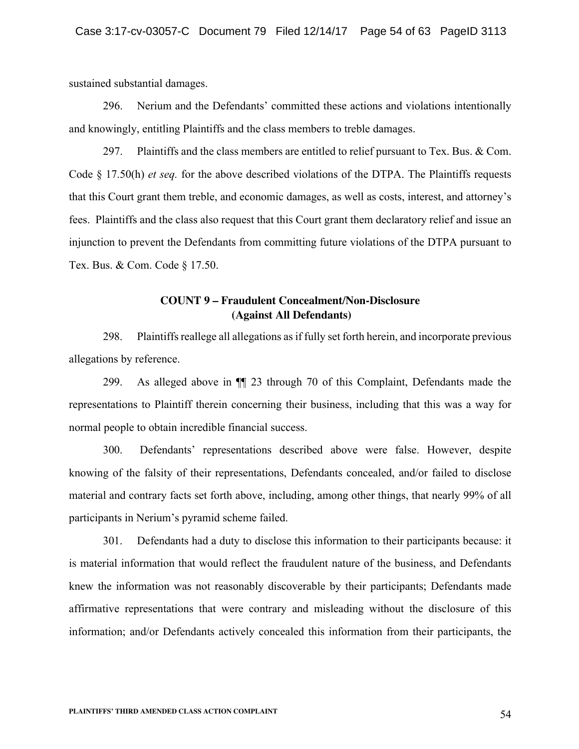sustained substantial damages.

296. Nerium and the Defendants' committed these actions and violations intentionally and knowingly, entitling Plaintiffs and the class members to treble damages.

297. Plaintiffs and the class members are entitled to relief pursuant to Tex. Bus. & Com. Code § 17.50(h) *et seq.* for the above described violations of the DTPA. The Plaintiffs requests that this Court grant them treble, and economic damages, as well as costs, interest, and attorney's fees. Plaintiffs and the class also request that this Court grant them declaratory relief and issue an injunction to prevent the Defendants from committing future violations of the DTPA pursuant to Tex. Bus. & Com. Code § 17.50.

# **COUNT 9 – Fraudulent Concealment/Non-Disclosure (Against All Defendants)**

298. Plaintiffs reallege all allegations as if fully set forth herein, and incorporate previous allegations by reference.

299. As alleged above in ¶¶ 23 through 70 of this Complaint, Defendants made the representations to Plaintiff therein concerning their business, including that this was a way for normal people to obtain incredible financial success.

300. Defendants' representations described above were false. However, despite knowing of the falsity of their representations, Defendants concealed, and/or failed to disclose material and contrary facts set forth above, including, among other things, that nearly 99% of all participants in Nerium's pyramid scheme failed.

301. Defendants had a duty to disclose this information to their participants because: it is material information that would reflect the fraudulent nature of the business, and Defendants knew the information was not reasonably discoverable by their participants; Defendants made affirmative representations that were contrary and misleading without the disclosure of this information; and/or Defendants actively concealed this information from their participants, the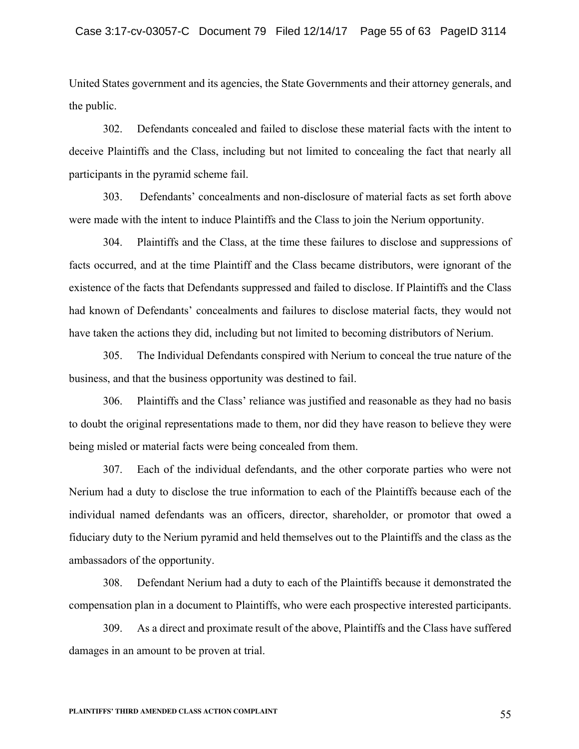United States government and its agencies, the State Governments and their attorney generals, and the public.

302. Defendants concealed and failed to disclose these material facts with the intent to deceive Plaintiffs and the Class, including but not limited to concealing the fact that nearly all participants in the pyramid scheme fail.

303. Defendants' concealments and non-disclosure of material facts as set forth above were made with the intent to induce Plaintiffs and the Class to join the Nerium opportunity.

304. Plaintiffs and the Class, at the time these failures to disclose and suppressions of facts occurred, and at the time Plaintiff and the Class became distributors, were ignorant of the existence of the facts that Defendants suppressed and failed to disclose. If Plaintiffs and the Class had known of Defendants' concealments and failures to disclose material facts, they would not have taken the actions they did, including but not limited to becoming distributors of Nerium.

305. The Individual Defendants conspired with Nerium to conceal the true nature of the business, and that the business opportunity was destined to fail.

306. Plaintiffs and the Class' reliance was justified and reasonable as they had no basis to doubt the original representations made to them, nor did they have reason to believe they were being misled or material facts were being concealed from them.

307. Each of the individual defendants, and the other corporate parties who were not Nerium had a duty to disclose the true information to each of the Plaintiffs because each of the individual named defendants was an officers, director, shareholder, or promotor that owed a fiduciary duty to the Nerium pyramid and held themselves out to the Plaintiffs and the class as the ambassadors of the opportunity.

308. Defendant Nerium had a duty to each of the Plaintiffs because it demonstrated the compensation plan in a document to Plaintiffs, who were each prospective interested participants.

309. As a direct and proximate result of the above, Plaintiffs and the Class have suffered damages in an amount to be proven at trial.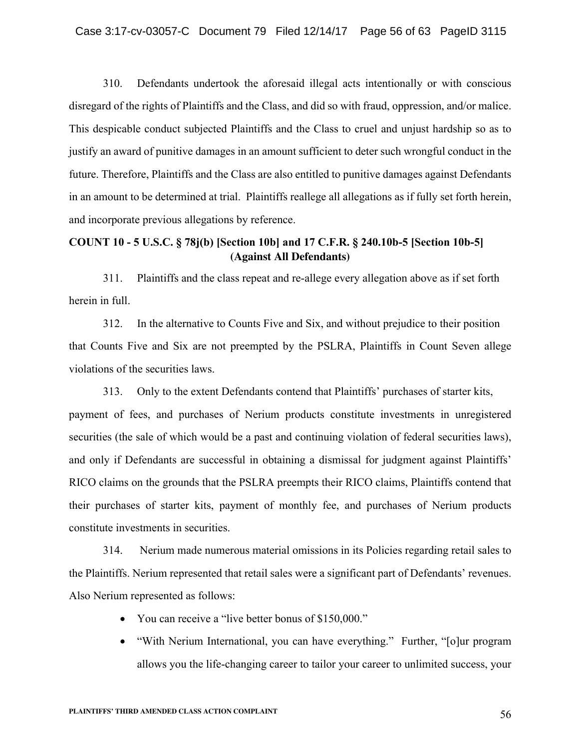310. Defendants undertook the aforesaid illegal acts intentionally or with conscious disregard of the rights of Plaintiffs and the Class, and did so with fraud, oppression, and/or malice. This despicable conduct subjected Plaintiffs and the Class to cruel and unjust hardship so as to justify an award of punitive damages in an amount sufficient to deter such wrongful conduct in the future. Therefore, Plaintiffs and the Class are also entitled to punitive damages against Defendants in an amount to be determined at trial.Plaintiffs reallege all allegations as if fully set forth herein, and incorporate previous allegations by reference.

# **COUNT 10 - 5 U.S.C. § 78j(b) [Section 10b] and 17 C.F.R. § 240.10b-5 [Section 10b-5] (Against All Defendants)**

311. Plaintiffs and the class repeat and re-allege every allegation above as if set forth herein in full.

312. In the alternative to Counts Five and Six, and without prejudice to their position that Counts Five and Six are not preempted by the PSLRA, Plaintiffs in Count Seven allege violations of the securities laws.

313. Only to the extent Defendants contend that Plaintiffs' purchases of starter kits, payment of fees, and purchases of Nerium products constitute investments in unregistered securities (the sale of which would be a past and continuing violation of federal securities laws), and only if Defendants are successful in obtaining a dismissal for judgment against Plaintiffs' RICO claims on the grounds that the PSLRA preempts their RICO claims, Plaintiffs contend that their purchases of starter kits, payment of monthly fee, and purchases of Nerium products constitute investments in securities.

314. Nerium made numerous material omissions in its Policies regarding retail sales to the Plaintiffs. Nerium represented that retail sales were a significant part of Defendants' revenues. Also Nerium represented as follows:

- You can receive a "live better bonus of \$150,000."
- "With Nerium International, you can have everything." Further, "[o]ur program allows you the life-changing career to tailor your career to unlimited success, your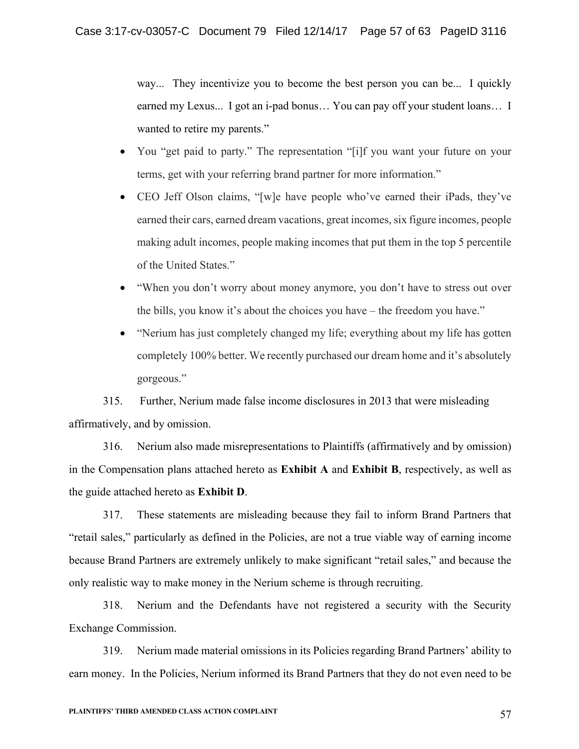way... They incentivize you to become the best person you can be... I quickly earned my Lexus... I got an i-pad bonus… You can pay off your student loans… I wanted to retire my parents."

- You "get paid to party." The representation "[i]f you want your future on your terms, get with your referring brand partner for more information."
- CEO Jeff Olson claims, "[w]e have people who've earned their iPads, they've earned their cars, earned dream vacations, great incomes, six figure incomes, people making adult incomes, people making incomes that put them in the top 5 percentile of the United States."
- "When you don't worry about money anymore, you don't have to stress out over the bills, you know it's about the choices you have – the freedom you have."
- "Nerium has just completely changed my life; everything about my life has gotten completely 100% better. We recently purchased our dream home and it's absolutely gorgeous."

315. Further, Nerium made false income disclosures in 2013 that were misleading affirmatively, and by omission.

316. Nerium also made misrepresentations to Plaintiffs (affirmatively and by omission) in the Compensation plans attached hereto as **Exhibit A** and **Exhibit B**, respectively, as well as the guide attached hereto as **Exhibit D**.

317. These statements are misleading because they fail to inform Brand Partners that "retail sales," particularly as defined in the Policies, are not a true viable way of earning income because Brand Partners are extremely unlikely to make significant "retail sales," and because the only realistic way to make money in the Nerium scheme is through recruiting.

318. Nerium and the Defendants have not registered a security with the Security Exchange Commission.

319. Nerium made material omissions in its Policies regarding Brand Partners' ability to earn money. In the Policies, Nerium informed its Brand Partners that they do not even need to be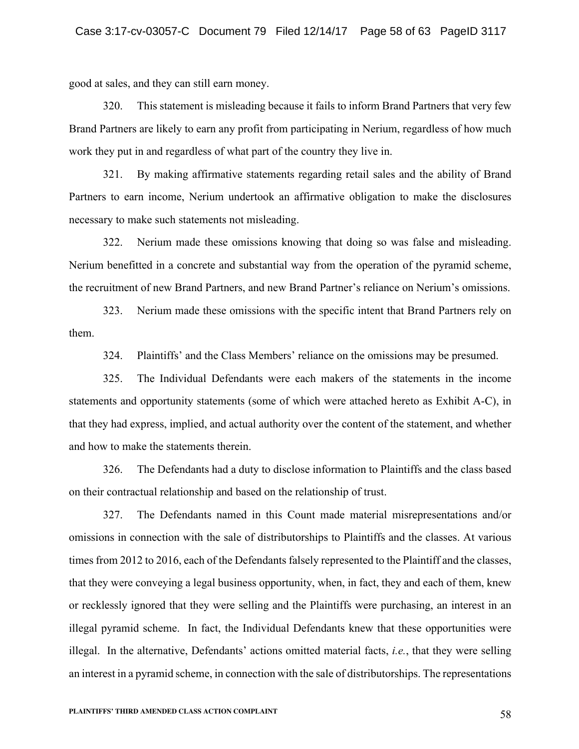good at sales, and they can still earn money.

320. This statement is misleading because it fails to inform Brand Partners that very few Brand Partners are likely to earn any profit from participating in Nerium, regardless of how much work they put in and regardless of what part of the country they live in.

321. By making affirmative statements regarding retail sales and the ability of Brand Partners to earn income, Nerium undertook an affirmative obligation to make the disclosures necessary to make such statements not misleading.

322. Nerium made these omissions knowing that doing so was false and misleading. Nerium benefitted in a concrete and substantial way from the operation of the pyramid scheme, the recruitment of new Brand Partners, and new Brand Partner's reliance on Nerium's omissions.

323. Nerium made these omissions with the specific intent that Brand Partners rely on them.

324. Plaintiffs' and the Class Members' reliance on the omissions may be presumed.

325. The Individual Defendants were each makers of the statements in the income statements and opportunity statements (some of which were attached hereto as Exhibit A-C), in that they had express, implied, and actual authority over the content of the statement, and whether and how to make the statements therein.

326. The Defendants had a duty to disclose information to Plaintiffs and the class based on their contractual relationship and based on the relationship of trust.

327. The Defendants named in this Count made material misrepresentations and/or omissions in connection with the sale of distributorships to Plaintiffs and the classes. At various times from 2012 to 2016, each of the Defendants falsely represented to the Plaintiff and the classes, that they were conveying a legal business opportunity, when, in fact, they and each of them, knew or recklessly ignored that they were selling and the Plaintiffs were purchasing, an interest in an illegal pyramid scheme. In fact, the Individual Defendants knew that these opportunities were illegal. In the alternative, Defendants' actions omitted material facts, *i.e.*, that they were selling an interest in a pyramid scheme, in connection with the sale of distributorships. The representations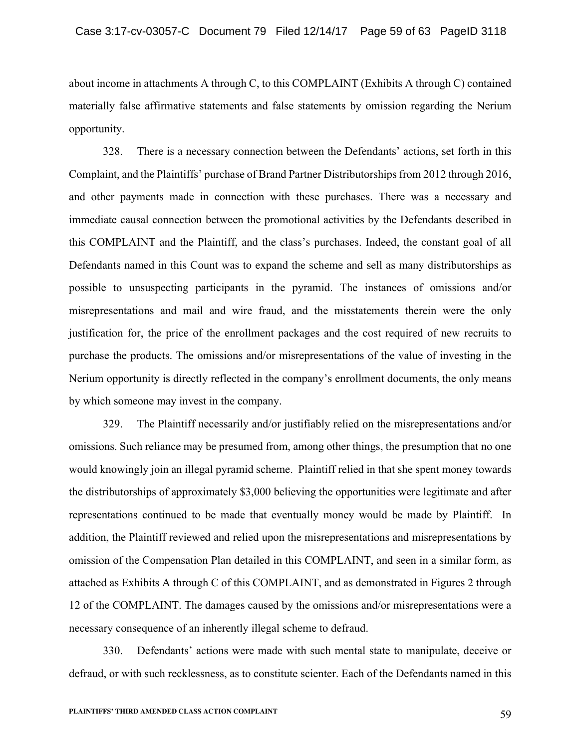about income in attachments A through C, to this COMPLAINT (Exhibits A through C) contained materially false affirmative statements and false statements by omission regarding the Nerium opportunity.

328. There is a necessary connection between the Defendants' actions, set forth in this Complaint, and the Plaintiffs' purchase of Brand Partner Distributorships from 2012 through 2016, and other payments made in connection with these purchases. There was a necessary and immediate causal connection between the promotional activities by the Defendants described in this COMPLAINT and the Plaintiff, and the class's purchases. Indeed, the constant goal of all Defendants named in this Count was to expand the scheme and sell as many distributorships as possible to unsuspecting participants in the pyramid. The instances of omissions and/or misrepresentations and mail and wire fraud, and the misstatements therein were the only justification for, the price of the enrollment packages and the cost required of new recruits to purchase the products. The omissions and/or misrepresentations of the value of investing in the Nerium opportunity is directly reflected in the company's enrollment documents, the only means by which someone may invest in the company.

329. The Plaintiff necessarily and/or justifiably relied on the misrepresentations and/or omissions. Such reliance may be presumed from, among other things, the presumption that no one would knowingly join an illegal pyramid scheme. Plaintiff relied in that she spent money towards the distributorships of approximately \$3,000 believing the opportunities were legitimate and after representations continued to be made that eventually money would be made by Plaintiff. In addition, the Plaintiff reviewed and relied upon the misrepresentations and misrepresentations by omission of the Compensation Plan detailed in this COMPLAINT, and seen in a similar form, as attached as Exhibits A through C of this COMPLAINT, and as demonstrated in Figures 2 through 12 of the COMPLAINT. The damages caused by the omissions and/or misrepresentations were a necessary consequence of an inherently illegal scheme to defraud.

330. Defendants' actions were made with such mental state to manipulate, deceive or defraud, or with such recklessness, as to constitute scienter. Each of the Defendants named in this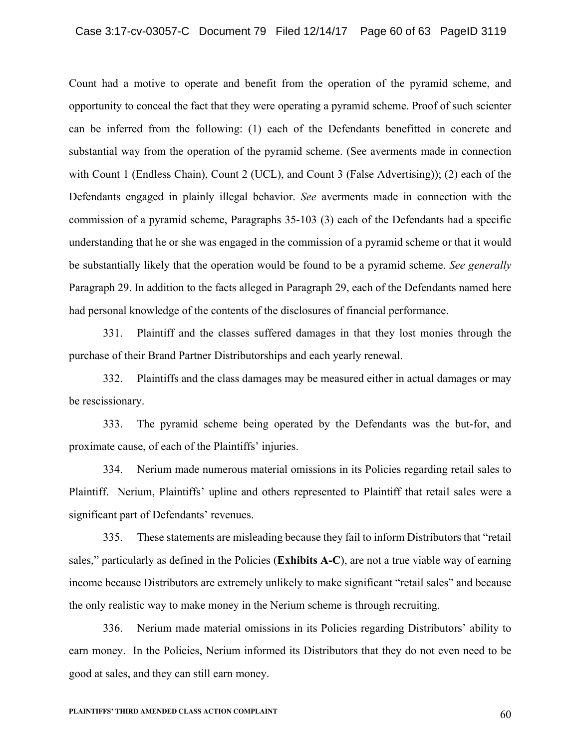Count had a motive to operate and benefit from the operation of the pyramid scheme, and opportunity to conceal the fact that they were operating a pyramid scheme. Proof of such scienter can be inferred from the following: (1) each of the Defendants benefitted in concrete and substantial way from the operation of the pyramid scheme. (See averments made in connection with Count 1 (Endless Chain), Count 2 (UCL), and Count 3 (False Advertising)); (2) each of the Defendants engaged in plainly illegal behavior. *See* averments made in connection with the commission of a pyramid scheme, Paragraphs 35-103 (3) each of the Defendants had a specific understanding that he or she was engaged in the commission of a pyramid scheme or that it would be substantially likely that the operation would be found to be a pyramid scheme. *See generally* Paragraph 29. In addition to the facts alleged in Paragraph 29, each of the Defendants named here had personal knowledge of the contents of the disclosures of financial performance.

331. Plaintiff and the classes suffered damages in that they lost monies through the purchase of their Brand Partner Distributorships and each yearly renewal.

332. Plaintiffs and the class damages may be measured either in actual damages or may be rescissionary.

333. The pyramid scheme being operated by the Defendants was the but-for, and proximate cause, of each of the Plaintiffs' injuries.

334. Nerium made numerous material omissions in its Policies regarding retail sales to Plaintiff. Nerium, Plaintiffs' upline and others represented to Plaintiff that retail sales were a significant part of Defendants' revenues.

335. These statements are misleading because they fail to inform Distributors that "retail sales," particularly as defined in the Policies (**Exhibits A-C**), are not a true viable way of earning income because Distributors are extremely unlikely to make significant "retail sales" and because the only realistic way to make money in the Nerium scheme is through recruiting.

336. Nerium made material omissions in its Policies regarding Distributors' ability to earn money. In the Policies, Nerium informed its Distributors that they do not even need to be good at sales, and they can still earn money.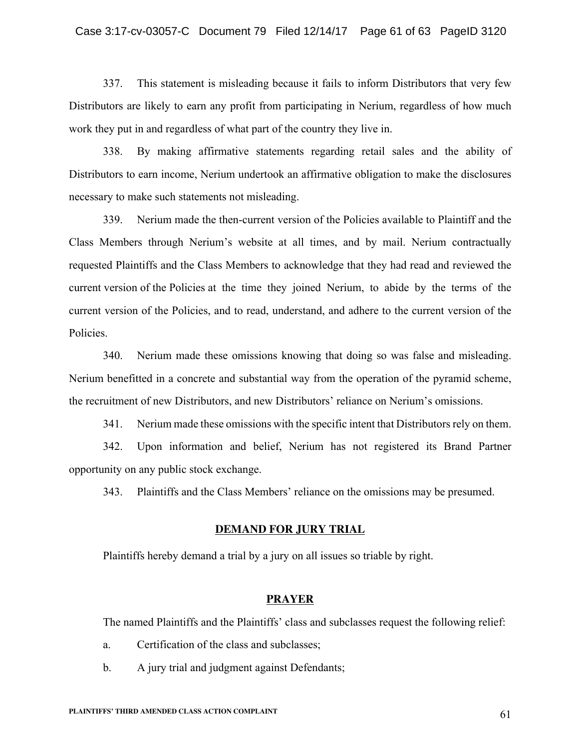#### Case 3:17-cv-03057-C Document 79 Filed 12/14/17 Page 61 of 63 PageID 3120

337. This statement is misleading because it fails to inform Distributors that very few Distributors are likely to earn any profit from participating in Nerium, regardless of how much work they put in and regardless of what part of the country they live in.

338. By making affirmative statements regarding retail sales and the ability of Distributors to earn income, Nerium undertook an affirmative obligation to make the disclosures necessary to make such statements not misleading.

339. Nerium made the then-current version of the Policies available to Plaintiff and the Class Members through Nerium's website at all times, and by mail. Nerium contractually requested Plaintiffs and the Class Members to acknowledge that they had read and reviewed the current version of the Policies at the time they joined Nerium, to abide by the terms of the current version of the Policies, and to read, understand, and adhere to the current version of the Policies.

340. Nerium made these omissions knowing that doing so was false and misleading. Nerium benefitted in a concrete and substantial way from the operation of the pyramid scheme, the recruitment of new Distributors, and new Distributors' reliance on Nerium's omissions.

341. Nerium made these omissions with the specific intent that Distributors rely on them.

342. Upon information and belief, Nerium has not registered its Brand Partner opportunity on any public stock exchange.

343. Plaintiffs and the Class Members' reliance on the omissions may be presumed.

#### **DEMAND FOR JURY TRIAL**

Plaintiffs hereby demand a trial by a jury on all issues so triable by right.

#### **PRAYER**

The named Plaintiffs and the Plaintiffs' class and subclasses request the following relief:

- a. Certification of the class and subclasses;
- b. A jury trial and judgment against Defendants;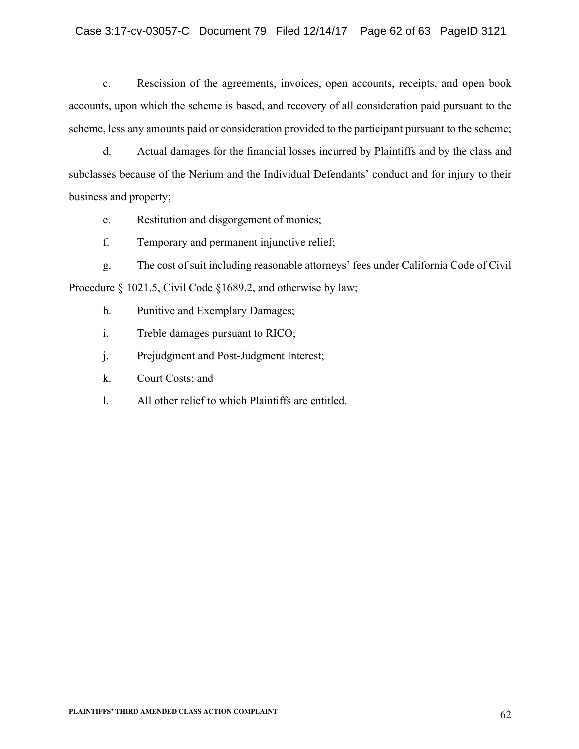# Case 3:17-cv-03057-C Document 79 Filed 12/14/17 Page 62 of 63 PageID 3121

c. Rescission of the agreements, invoices, open accounts, receipts, and open book accounts, upon which the scheme is based, and recovery of all consideration paid pursuant to the scheme, less any amounts paid or consideration provided to the participant pursuant to the scheme;

d. Actual damages for the financial losses incurred by Plaintiffs and by the class and subclasses because of the Nerium and the Individual Defendants' conduct and for injury to their business and property;

e. Restitution and disgorgement of monies;

f. Temporary and permanent injunctive relief;

g. The cost of suit including reasonable attorneys' fees under California Code of Civil Procedure § 1021.5, Civil Code § 1689.2, and otherwise by law;

- h. Punitive and Exemplary Damages;
- i. Treble damages pursuant to RICO;
- j. Prejudgment and Post-Judgment Interest;
- k. Court Costs; and
- l. All other relief to which Plaintiffs are entitled.